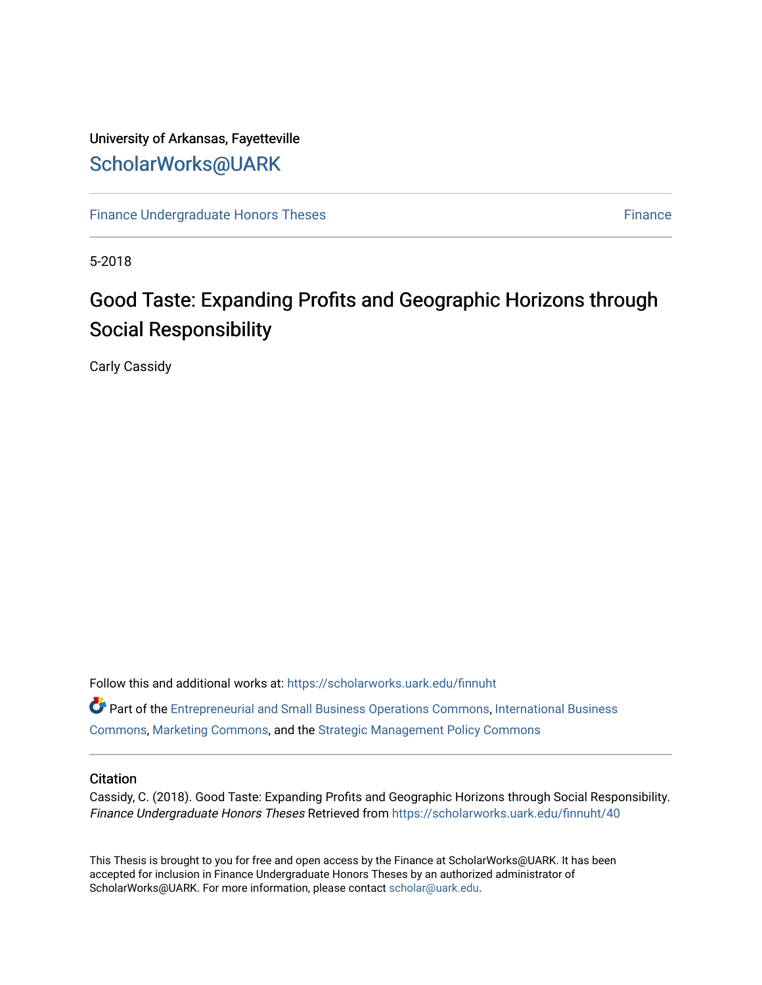# University of Arkansas, Fayetteville [ScholarWorks@UARK](https://scholarworks.uark.edu/)

[Finance Undergraduate Honors Theses](https://scholarworks.uark.edu/finnuht) [Finance](https://scholarworks.uark.edu/finn) **Finance Finance** 

5-2018

# Good Taste: Expanding Profits and Geographic Horizons through Social Responsibility

Carly Cassidy

Follow this and additional works at: [https://scholarworks.uark.edu/finnuht](https://scholarworks.uark.edu/finnuht?utm_source=scholarworks.uark.edu%2Ffinnuht%2F40&utm_medium=PDF&utm_campaign=PDFCoverPages)

Part of the [Entrepreneurial and Small Business Operations Commons,](http://network.bepress.com/hgg/discipline/630?utm_source=scholarworks.uark.edu%2Ffinnuht%2F40&utm_medium=PDF&utm_campaign=PDFCoverPages) [International Business](http://network.bepress.com/hgg/discipline/634?utm_source=scholarworks.uark.edu%2Ffinnuht%2F40&utm_medium=PDF&utm_campaign=PDFCoverPages)  [Commons](http://network.bepress.com/hgg/discipline/634?utm_source=scholarworks.uark.edu%2Ffinnuht%2F40&utm_medium=PDF&utm_campaign=PDFCoverPages), [Marketing Commons,](http://network.bepress.com/hgg/discipline/638?utm_source=scholarworks.uark.edu%2Ffinnuht%2F40&utm_medium=PDF&utm_campaign=PDFCoverPages) and the [Strategic Management Policy Commons](http://network.bepress.com/hgg/discipline/642?utm_source=scholarworks.uark.edu%2Ffinnuht%2F40&utm_medium=PDF&utm_campaign=PDFCoverPages) 

#### **Citation**

Cassidy, C. (2018). Good Taste: Expanding Profits and Geographic Horizons through Social Responsibility. Finance Undergraduate Honors Theses Retrieved from [https://scholarworks.uark.edu/finnuht/40](https://scholarworks.uark.edu/finnuht/40?utm_source=scholarworks.uark.edu%2Ffinnuht%2F40&utm_medium=PDF&utm_campaign=PDFCoverPages) 

This Thesis is brought to you for free and open access by the Finance at ScholarWorks@UARK. It has been accepted for inclusion in Finance Undergraduate Honors Theses by an authorized administrator of ScholarWorks@UARK. For more information, please contact [scholar@uark.edu](mailto:scholar@uark.edu).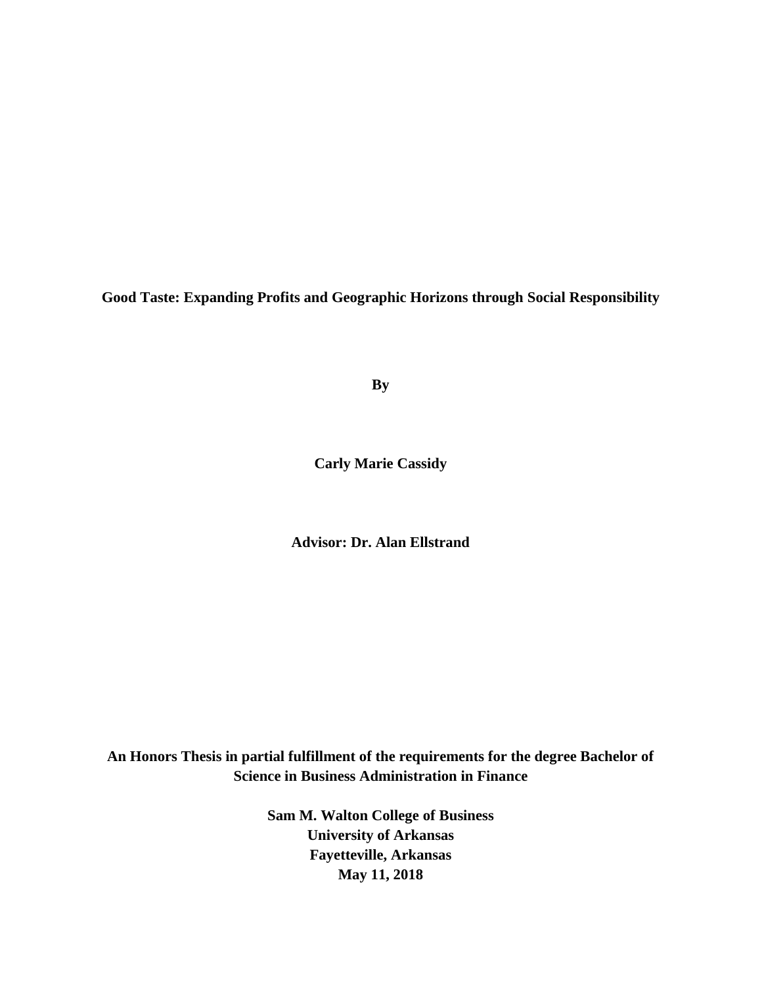**Good Taste: Expanding Profits and Geographic Horizons through Social Responsibility**

**By**

**Carly Marie Cassidy**

**Advisor: Dr. Alan Ellstrand**

**An Honors Thesis in partial fulfillment of the requirements for the degree Bachelor of Science in Business Administration in Finance**

> **Sam M. Walton College of Business University of Arkansas Fayetteville, Arkansas May 11, 2018**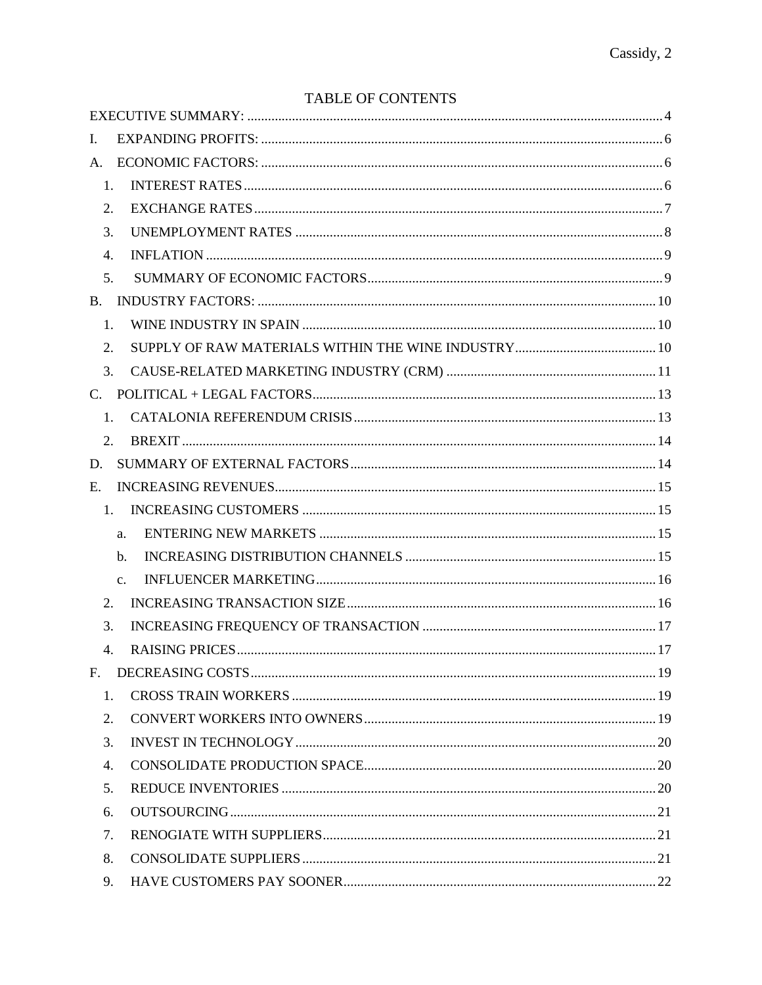# TABLE OF CONTENTS

| I.          |                |  |
|-------------|----------------|--|
| A.          |                |  |
| 1.          |                |  |
| 2.          |                |  |
| 3.          |                |  |
| 4.          |                |  |
| 5.          |                |  |
| <b>B.</b>   |                |  |
| 1.          |                |  |
| 2.          |                |  |
| 3.          |                |  |
| $C_{\cdot}$ |                |  |
| 1.          |                |  |
| 2.          |                |  |
| D.          |                |  |
| E.          |                |  |
| 1.          |                |  |
|             | a.             |  |
|             | b.             |  |
|             | $\mathbf{c}$ . |  |
| 2.          |                |  |
| 3.          |                |  |
| 4.          |                |  |
|             |                |  |
| 1.          |                |  |
| 2.          |                |  |
| 3.          |                |  |
| 4.          |                |  |
| 5.          |                |  |
| 6.          |                |  |
| 7.          |                |  |
| 8.          |                |  |
| 9.          |                |  |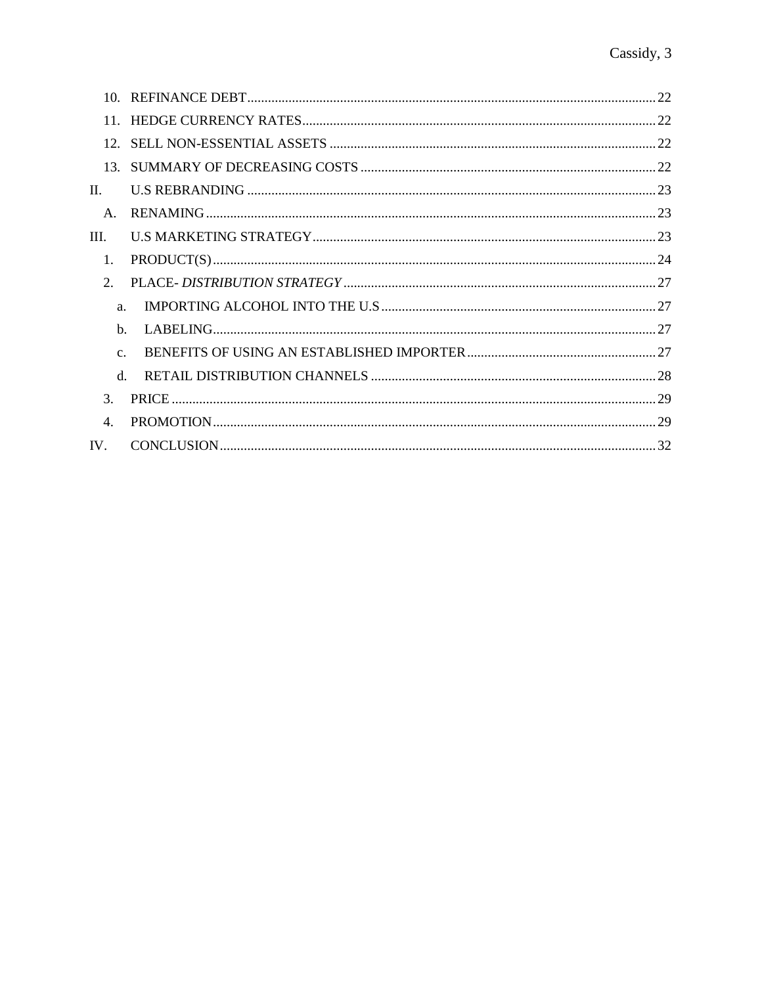| 12 <sup>1</sup> |  |
|-----------------|--|
|                 |  |
| П.              |  |
| $A_{\cdot}$     |  |
| III.            |  |
| 1.              |  |
| $\mathcal{D}$   |  |
| a.              |  |
| $h_{\cdot}$     |  |
| $C_{\cdot}$     |  |
| $d_{\cdot}$     |  |
| $\mathcal{F}$   |  |
| $\overline{4}$  |  |
| IV.             |  |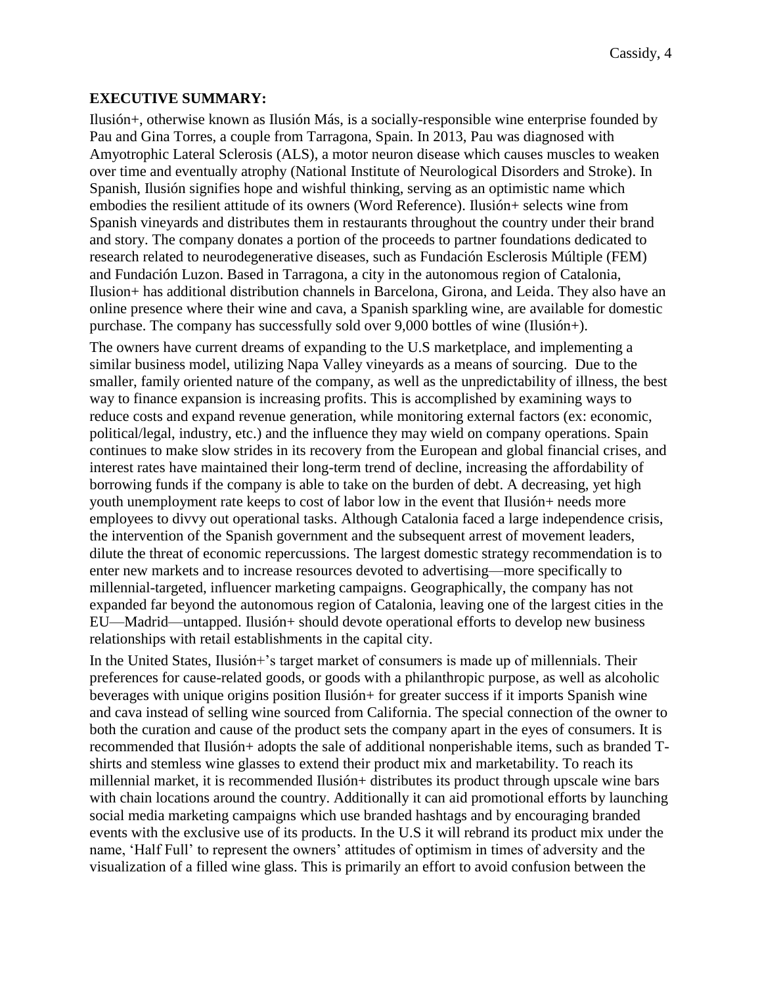# <span id="page-4-0"></span>**EXECUTIVE SUMMARY:**

Ilusión+, otherwise known as Ilusión Más, is a socially-responsible wine enterprise founded by Pau and Gina Torres, a couple from Tarragona, Spain. In 2013, Pau was diagnosed with Amyotrophic Lateral Sclerosis (ALS), a motor neuron disease which causes muscles to weaken over time and eventually atrophy (National Institute of Neurological Disorders and Stroke). In Spanish, Ilusión signifies hope and wishful thinking, serving as an optimistic name which embodies the resilient attitude of its owners (Word Reference). Ilusión+ selects wine from Spanish vineyards and distributes them in restaurants throughout the country under their brand and story. The company donates a portion of the proceeds to partner foundations dedicated to research related to neurodegenerative diseases, such as Fundación Esclerosis Múltiple (FEM) and Fundación Luzon. Based in Tarragona, a city in the autonomous region of Catalonia, Ilusion+ has additional distribution channels in Barcelona, Girona, and Leida. They also have an online presence where their wine and cava, a Spanish sparkling wine, are available for domestic purchase. The company has successfully sold over 9,000 bottles of wine (Ilusión+).

The owners have current dreams of expanding to the U.S marketplace, and implementing a similar business model, utilizing Napa Valley vineyards as a means of sourcing. Due to the smaller, family oriented nature of the company, as well as the unpredictability of illness, the best way to finance expansion is increasing profits. This is accomplished by examining ways to reduce costs and expand revenue generation, while monitoring external factors (ex: economic, political/legal, industry, etc.) and the influence they may wield on company operations. Spain continues to make slow strides in its recovery from the European and global financial crises, and interest rates have maintained their long-term trend of decline, increasing the affordability of borrowing funds if the company is able to take on the burden of debt. A decreasing, yet high youth unemployment rate keeps to cost of labor low in the event that Ilusión+ needs more employees to divvy out operational tasks. Although Catalonia faced a large independence crisis, the intervention of the Spanish government and the subsequent arrest of movement leaders, dilute the threat of economic repercussions. The largest domestic strategy recommendation is to enter new markets and to increase resources devoted to advertising—more specifically to millennial-targeted, influencer marketing campaigns. Geographically, the company has not expanded far beyond the autonomous region of Catalonia, leaving one of the largest cities in the EU—Madrid—untapped. Ilusión+ should devote operational efforts to develop new business relationships with retail establishments in the capital city.

In the United States, Ilusión+'s target market of consumers is made up of millennials. Their preferences for cause-related goods, or goods with a philanthropic purpose, as well as alcoholic beverages with unique origins position Ilusión+ for greater success if it imports Spanish wine and cava instead of selling wine sourced from California. The special connection of the owner to both the curation and cause of the product sets the company apart in the eyes of consumers. It is recommended that Ilusión+ adopts the sale of additional nonperishable items, such as branded Tshirts and stemless wine glasses to extend their product mix and marketability. To reach its millennial market, it is recommended Ilusión+ distributes its product through upscale wine bars with chain locations around the country. Additionally it can aid promotional efforts by launching social media marketing campaigns which use branded hashtags and by encouraging branded events with the exclusive use of its products. In the U.S it will rebrand its product mix under the name, 'Half Full' to represent the owners' attitudes of optimism in times of adversity and the visualization of a filled wine glass. This is primarily an effort to avoid confusion between the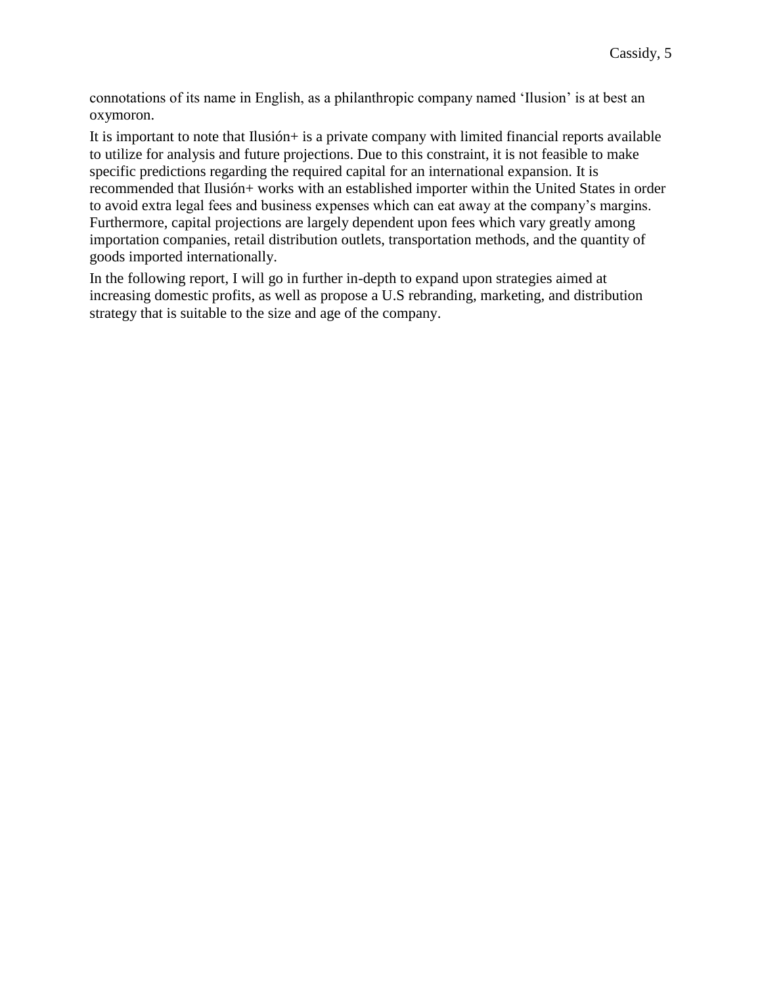connotations of its name in English, as a philanthropic company named 'Ilusion' is at best an oxymoron.

It is important to note that Ilusión+ is a private company with limited financial reports available to utilize for analysis and future projections. Due to this constraint, it is not feasible to make specific predictions regarding the required capital for an international expansion. It is recommended that Ilusión+ works with an established importer within the United States in order to avoid extra legal fees and business expenses which can eat away at the company's margins. Furthermore, capital projections are largely dependent upon fees which vary greatly among importation companies, retail distribution outlets, transportation methods, and the quantity of goods imported internationally.

In the following report, I will go in further in-depth to expand upon strategies aimed at increasing domestic profits, as well as propose a U.S rebranding, marketing, and distribution strategy that is suitable to the size and age of the company.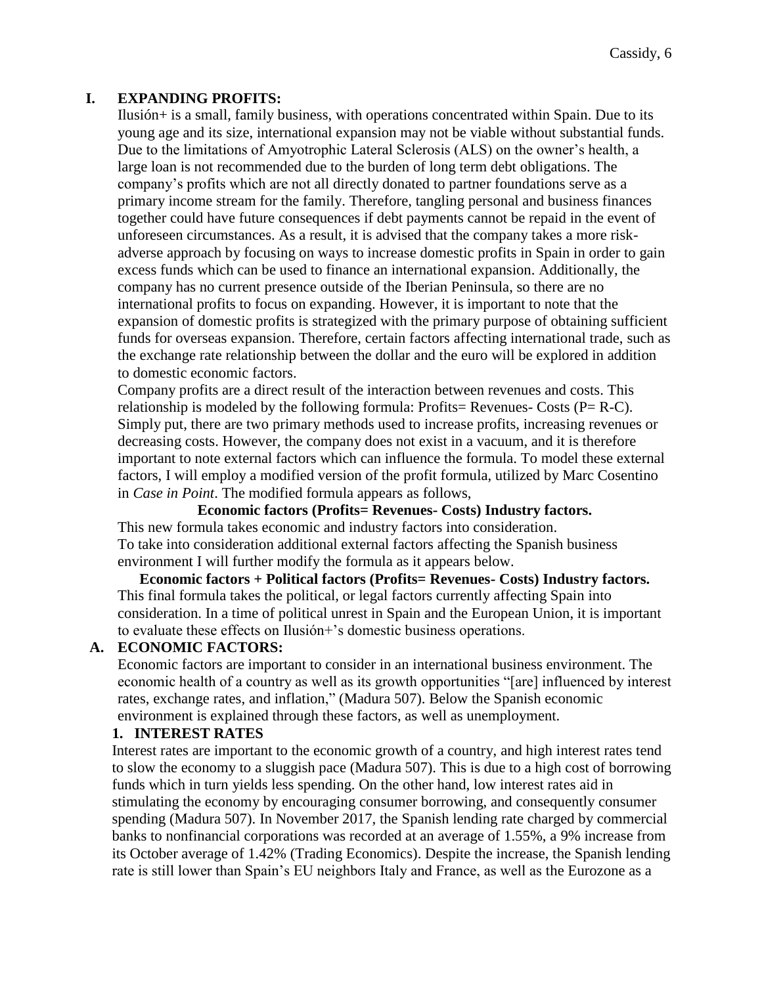## <span id="page-6-0"></span>**I. EXPANDING PROFITS:**

Ilusión+ is a small, family business, with operations concentrated within Spain. Due to its young age and its size, international expansion may not be viable without substantial funds. Due to the limitations of Amyotrophic Lateral Sclerosis (ALS) on the owner's health, a large loan is not recommended due to the burden of long term debt obligations. The company's profits which are not all directly donated to partner foundations serve as a primary income stream for the family. Therefore, tangling personal and business finances together could have future consequences if debt payments cannot be repaid in the event of unforeseen circumstances. As a result, it is advised that the company takes a more riskadverse approach by focusing on ways to increase domestic profits in Spain in order to gain excess funds which can be used to finance an international expansion. Additionally, the company has no current presence outside of the Iberian Peninsula, so there are no international profits to focus on expanding. However, it is important to note that the expansion of domestic profits is strategized with the primary purpose of obtaining sufficient funds for overseas expansion. Therefore, certain factors affecting international trade, such as the exchange rate relationship between the dollar and the euro will be explored in addition to domestic economic factors.

Company profits are a direct result of the interaction between revenues and costs. This relationship is modeled by the following formula: Profits= Revenues- Costs  $(P= R-C)$ . Simply put, there are two primary methods used to increase profits, increasing revenues or decreasing costs. However, the company does not exist in a vacuum, and it is therefore important to note external factors which can influence the formula. To model these external factors, I will employ a modified version of the profit formula, utilized by Marc Cosentino in *Case in Point*. The modified formula appears as follows,

**Economic factors (Profits= Revenues- Costs) Industry factors.** This new formula takes economic and industry factors into consideration. To take into consideration additional external factors affecting the Spanish business environment I will further modify the formula as it appears below.

**Economic factors + Political factors (Profits= Revenues- Costs) Industry factors.** This final formula takes the political, or legal factors currently affecting Spain into consideration. In a time of political unrest in Spain and the European Union, it is important to evaluate these effects on Ilusión+'s domestic business operations.

### <span id="page-6-1"></span>**A. ECONOMIC FACTORS:**

Economic factors are important to consider in an international business environment. The economic health of a country as well as its growth opportunities "[are] influenced by interest rates, exchange rates, and inflation," (Madura 507). Below the Spanish economic environment is explained through these factors, as well as unemployment.

### <span id="page-6-2"></span>**1. INTEREST RATES**

Interest rates are important to the economic growth of a country, and high interest rates tend to slow the economy to a sluggish pace (Madura 507). This is due to a high cost of borrowing funds which in turn yields less spending. On the other hand, low interest rates aid in stimulating the economy by encouraging consumer borrowing, and consequently consumer spending (Madura 507). In November 2017, the Spanish lending rate charged by commercial banks to nonfinancial corporations was recorded at an average of 1.55%, a 9% increase from its October average of 1.42% (Trading Economics). Despite the increase, the Spanish lending rate is still lower than Spain's EU neighbors Italy and France, as well as the Eurozone as a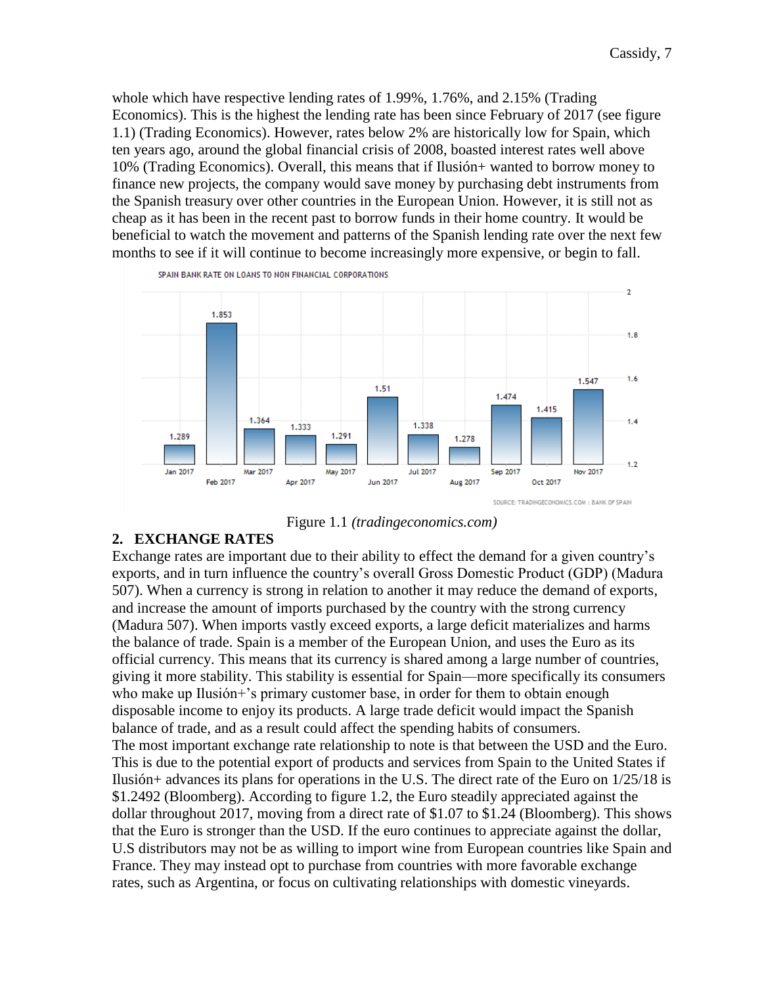whole which have respective lending rates of 1.99%, 1.76%, and 2.15% (Trading Economics). This is the highest the lending rate has been since February of 2017 (see figure 1.1) (Trading Economics). However, rates below 2% are historically low for Spain, which ten years ago, around the global financial crisis of 2008, boasted interest rates well above 10% (Trading Economics). Overall, this means that if Ilusión+ wanted to borrow money to finance new projects, the company would save money by purchasing debt instruments from the Spanish treasury over other countries in the European Union. However, it is still not as cheap as it has been in the recent past to borrow funds in their home country. It would be beneficial to watch the movement and patterns of the Spanish lending rate over the next few months to see if it will continue to become increasingly more expensive, or begin to fall.





# <span id="page-7-0"></span>**2. EXCHANGE RATES**

Exchange rates are important due to their ability to effect the demand for a given country's exports, and in turn influence the country's overall Gross Domestic Product (GDP) (Madura 507). When a currency is strong in relation to another it may reduce the demand of exports, and increase the amount of imports purchased by the country with the strong currency (Madura 507). When imports vastly exceed exports, a large deficit materializes and harms the balance of trade. Spain is a member of the European Union, and uses the Euro as its official currency. This means that its currency is shared among a large number of countries, giving it more stability. This stability is essential for Spain—more specifically its consumers who make up Ilusión+'s primary customer base, in order for them to obtain enough disposable income to enjoy its products. A large trade deficit would impact the Spanish balance of trade, and as a result could affect the spending habits of consumers. The most important exchange rate relationship to note is that between the USD and the Euro. This is due to the potential export of products and services from Spain to the United States if Ilusión+ advances its plans for operations in the U.S. The direct rate of the Euro on 1/25/18 is \$1.2492 (Bloomberg). According to figure 1.2, the Euro steadily appreciated against the dollar throughout 2017, moving from a direct rate of \$1.07 to \$1.24 (Bloomberg). This shows that the Euro is stronger than the USD. If the euro continues to appreciate against the dollar, U.S distributors may not be as willing to import wine from European countries like Spain and France. They may instead opt to purchase from countries with more favorable exchange rates, such as Argentina, or focus on cultivating relationships with domestic vineyards.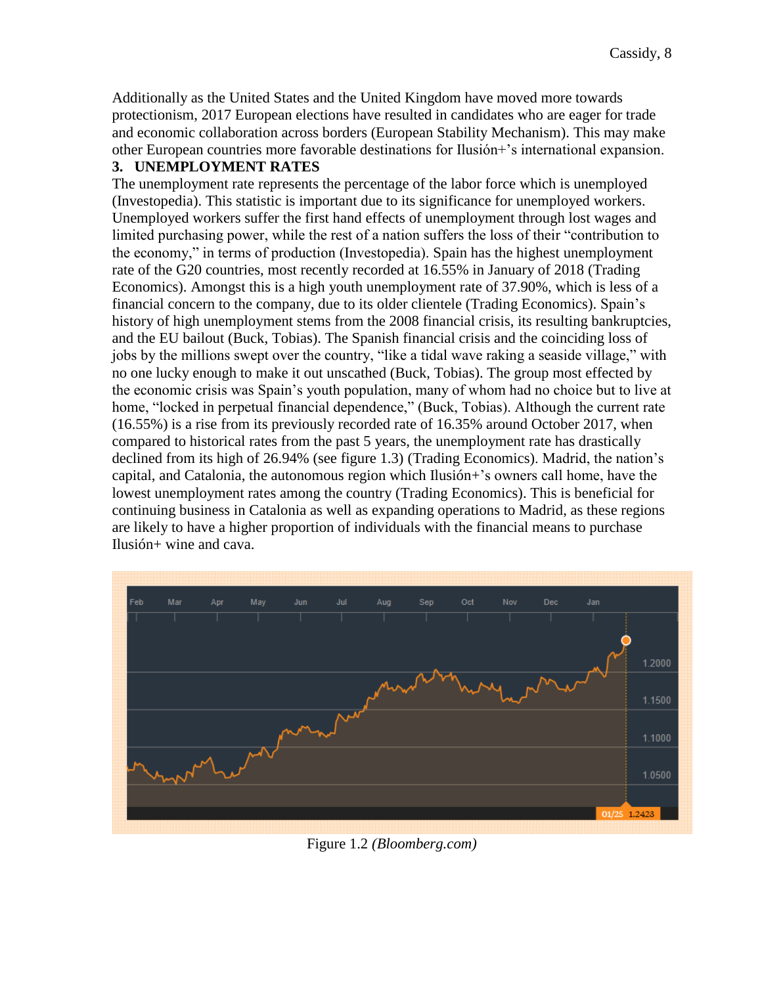Additionally as the United States and the United Kingdom have moved more towards protectionism, 2017 European elections have resulted in candidates who are eager for trade and economic collaboration across borders (European Stability Mechanism). This may make other European countries more favorable destinations for Ilusión+'s international expansion.

# <span id="page-8-0"></span>**3. UNEMPLOYMENT RATES**

The unemployment rate represents the percentage of the labor force which is unemployed (Investopedia). This statistic is important due to its significance for unemployed workers. Unemployed workers suffer the first hand effects of unemployment through lost wages and limited purchasing power, while the rest of a nation suffers the loss of their "contribution to the economy," in terms of production (Investopedia). Spain has the highest unemployment rate of the G20 countries, most recently recorded at 16.55% in January of 2018 (Trading Economics). Amongst this is a high youth unemployment rate of 37.90%, which is less of a financial concern to the company, due to its older clientele (Trading Economics). Spain's history of high unemployment stems from the 2008 financial crisis, its resulting bankruptcies, and the EU bailout (Buck, Tobias). The Spanish financial crisis and the coinciding loss of jobs by the millions swept over the country, "like a tidal wave raking a seaside village," with no one lucky enough to make it out unscathed (Buck, Tobias). The group most effected by the economic crisis was Spain's youth population, many of whom had no choice but to live at home, "locked in perpetual financial dependence," (Buck, Tobias). Although the current rate (16.55%) is a rise from its previously recorded rate of 16.35% around October 2017, when compared to historical rates from the past 5 years, the unemployment rate has drastically declined from its high of 26.94% (see figure 1.3) (Trading Economics). Madrid, the nation's capital, and Catalonia, the autonomous region which Ilusión+'s owners call home, have the lowest unemployment rates among the country (Trading Economics). This is beneficial for continuing business in Catalonia as well as expanding operations to Madrid, as these regions are likely to have a higher proportion of individuals with the financial means to purchase Ilusión+ wine and cava.



Figure 1.2 *(Bloomberg.com)*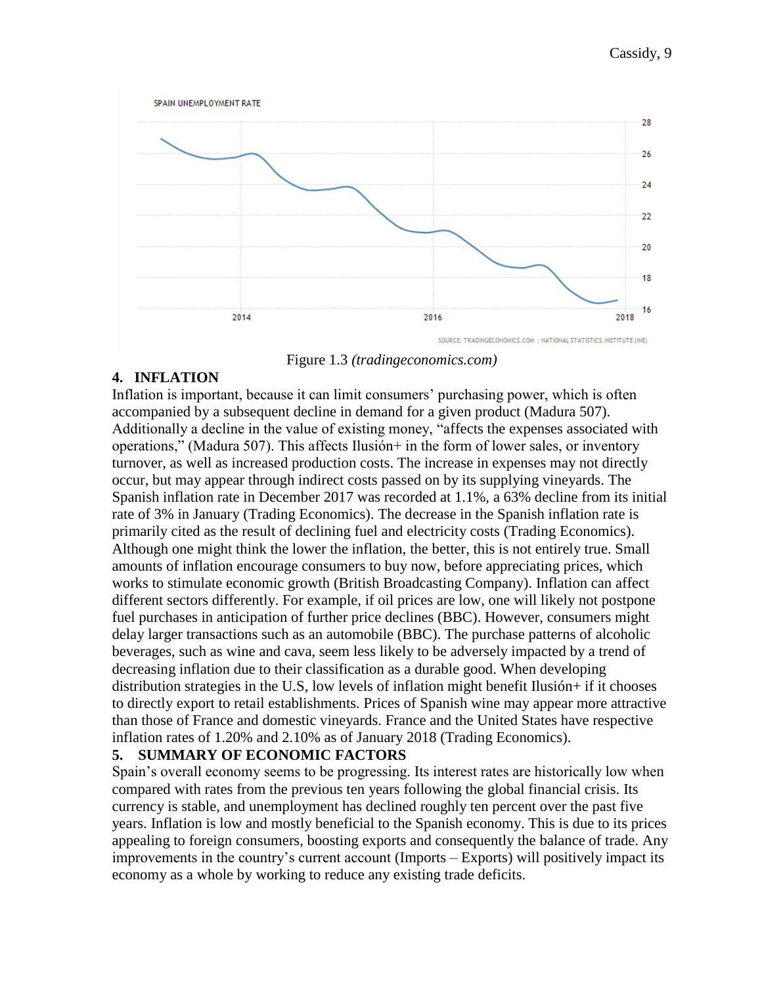

Figure 1.3 *(tradingeconomics.com)*

# <span id="page-9-0"></span>**4. INFLATION**

Inflation is important, because it can limit consumers' purchasing power, which is often accompanied by a subsequent decline in demand for a given product (Madura 507). Additionally a decline in the value of existing money, "affects the expenses associated with operations," (Madura 507). This affects Ilusión+ in the form of lower sales, or inventory turnover, as well as increased production costs. The increase in expenses may not directly occur, but may appear through indirect costs passed on by its supplying vineyards. The Spanish inflation rate in December 2017 was recorded at 1.1%, a 63% decline from its initial rate of 3% in January (Trading Economics). The decrease in the Spanish inflation rate is primarily cited as the result of declining fuel and electricity costs (Trading Economics). Although one might think the lower the inflation, the better, this is not entirely true. Small amounts of inflation encourage consumers to buy now, before appreciating prices, which works to stimulate economic growth (British Broadcasting Company). Inflation can affect different sectors differently. For example, if oil prices are low, one will likely not postpone fuel purchases in anticipation of further price declines (BBC). However, consumers might delay larger transactions such as an automobile (BBC). The purchase patterns of alcoholic beverages, such as wine and cava, seem less likely to be adversely impacted by a trend of decreasing inflation due to their classification as a durable good. When developing distribution strategies in the U.S, low levels of inflation might benefit Ilusión+ if it chooses to directly export to retail establishments. Prices of Spanish wine may appear more attractive than those of France and domestic vineyards. France and the United States have respective inflation rates of 1.20% and 2.10% as of January 2018 (Trading Economics).

# <span id="page-9-1"></span>**5. SUMMARY OF ECONOMIC FACTORS**

Spain's overall economy seems to be progressing. Its interest rates are historically low when compared with rates from the previous ten years following the global financial crisis. Its currency is stable, and unemployment has declined roughly ten percent over the past five years. Inflation is low and mostly beneficial to the Spanish economy. This is due to its prices appealing to foreign consumers, boosting exports and consequently the balance of trade. Any improvements in the country's current account (Imports – Exports) will positively impact its economy as a whole by working to reduce any existing trade deficits.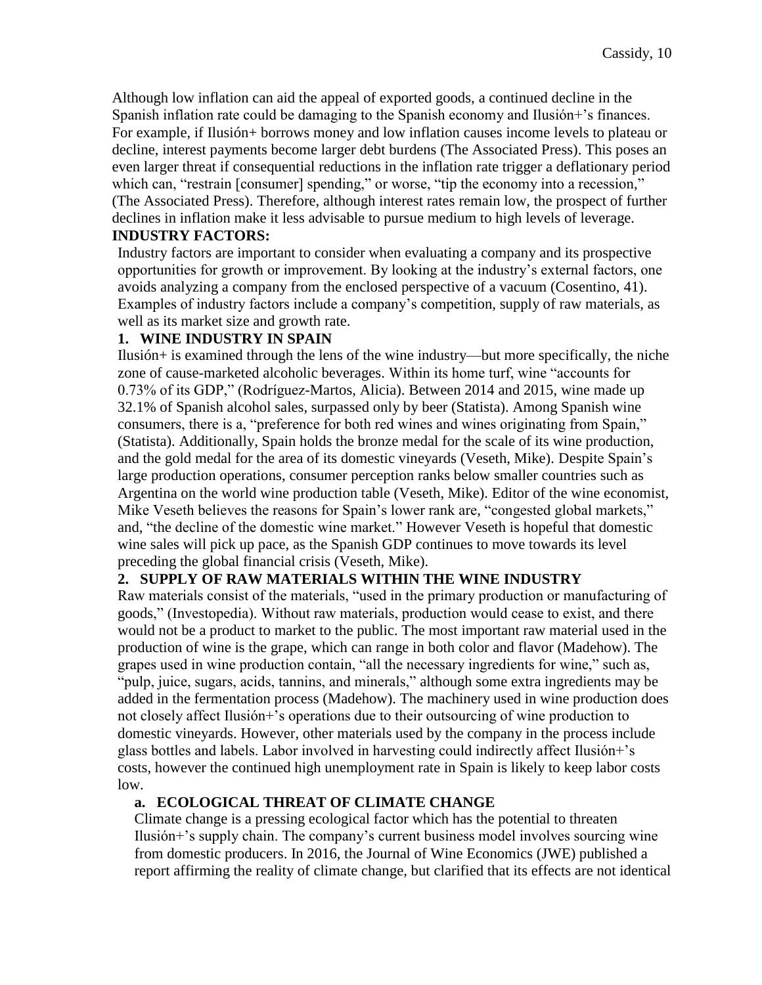Although low inflation can aid the appeal of exported goods, a continued decline in the Spanish inflation rate could be damaging to the Spanish economy and Ilusión+'s finances. For example, if Ilusión+ borrows money and low inflation causes income levels to plateau or decline, interest payments become larger debt burdens (The Associated Press). This poses an even larger threat if consequential reductions in the inflation rate trigger a deflationary period which can, "restrain [consumer] spending," or worse, "tip the economy into a recession," (The Associated Press). Therefore, although interest rates remain low, the prospect of further declines in inflation make it less advisable to pursue medium to high levels of leverage.

### **INDUSTRY FACTORS:**

<span id="page-10-0"></span>Industry factors are important to consider when evaluating a company and its prospective opportunities for growth or improvement. By looking at the industry's external factors, one avoids analyzing a company from the enclosed perspective of a vacuum (Cosentino, 41). Examples of industry factors include a company's competition, supply of raw materials, as well as its market size and growth rate.

### <span id="page-10-1"></span>**1. WINE INDUSTRY IN SPAIN**

Ilusión+ is examined through the lens of the wine industry—but more specifically, the niche zone of cause-marketed alcoholic beverages. Within its home turf, wine "accounts for 0.73% of its GDP," (Rodríguez-Martos, Alicia). Between 2014 and 2015, wine made up 32.1% of Spanish alcohol sales, surpassed only by beer (Statista). Among Spanish wine consumers, there is a, "preference for both red wines and wines originating from Spain," (Statista). Additionally, Spain holds the bronze medal for the scale of its wine production, and the gold medal for the area of its domestic vineyards (Veseth, Mike). Despite Spain's large production operations, consumer perception ranks below smaller countries such as Argentina on the world wine production table (Veseth, Mike). Editor of the wine economist, Mike Veseth believes the reasons for Spain's lower rank are, "congested global markets," and, "the decline of the domestic wine market." However Veseth is hopeful that domestic wine sales will pick up pace, as the Spanish GDP continues to move towards its level preceding the global financial crisis (Veseth, Mike).

### <span id="page-10-2"></span>**2. SUPPLY OF RAW MATERIALS WITHIN THE WINE INDUSTRY**

Raw materials consist of the materials, "used in the primary production or manufacturing of goods," (Investopedia). Without raw materials, production would cease to exist, and there would not be a product to market to the public. The most important raw material used in the production of wine is the grape, which can range in both color and flavor (Madehow). The grapes used in wine production contain, "all the necessary ingredients for wine," such as, "pulp, juice, sugars, acids, tannins, and minerals," although some extra ingredients may be added in the fermentation process (Madehow). The machinery used in wine production does not closely affect Ilusión+'s operations due to their outsourcing of wine production to domestic vineyards. However, other materials used by the company in the process include glass bottles and labels. Labor involved in harvesting could indirectly affect Ilusión+'s costs, however the continued high unemployment rate in Spain is likely to keep labor costs low.

### **a. ECOLOGICAL THREAT OF CLIMATE CHANGE**

Climate change is a pressing ecological factor which has the potential to threaten Ilusión+'s supply chain. The company's current business model involves sourcing wine from domestic producers. In 2016, the Journal of Wine Economics (JWE) published a report affirming the reality of climate change, but clarified that its effects are not identical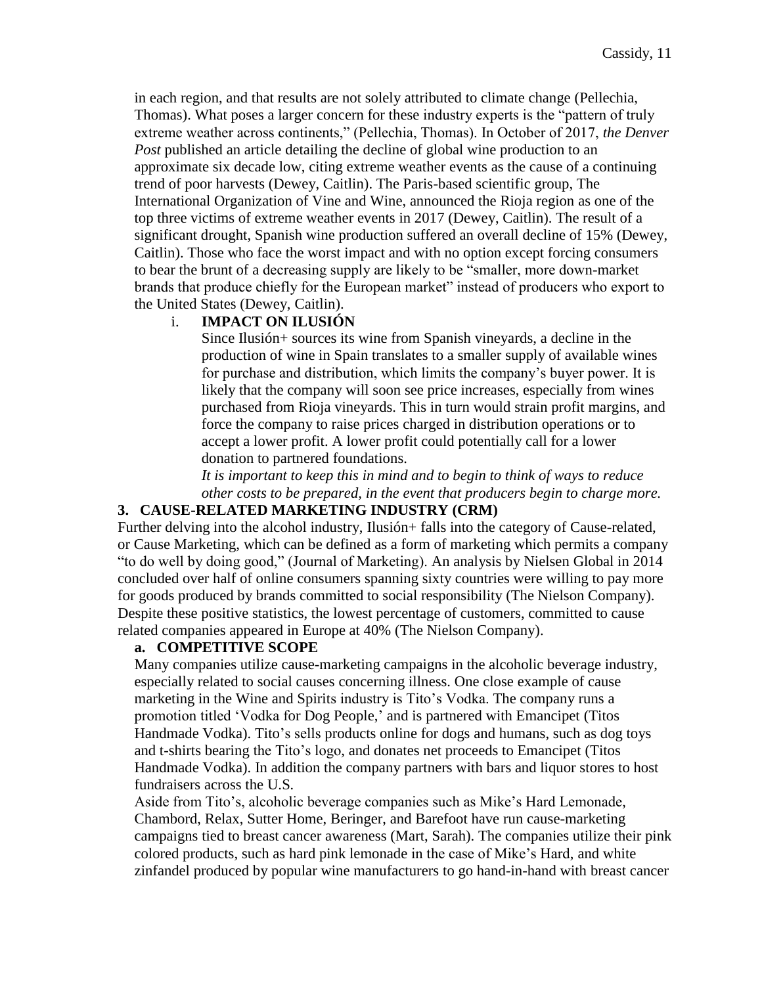in each region, and that results are not solely attributed to climate change (Pellechia, Thomas). What poses a larger concern for these industry experts is the "pattern of truly extreme weather across continents," (Pellechia, Thomas). In October of 2017, *the Denver Post* published an article detailing the decline of global wine production to an approximate six decade low, citing extreme weather events as the cause of a continuing trend of poor harvests (Dewey, Caitlin). The Paris-based scientific group, The International Organization of Vine and Wine, announced the Rioja region as one of the top three victims of extreme weather events in 2017 (Dewey, Caitlin). The result of a significant drought, Spanish wine production suffered an overall decline of 15% (Dewey, Caitlin). Those who face the worst impact and with no option except forcing consumers to bear the brunt of a decreasing supply are likely to be "smaller, more down-market brands that produce chiefly for the European market" instead of producers who export to the United States (Dewey, Caitlin).

### i. **IMPACT ON ILUSIÓN**

Since Ilusión+ sources its wine from Spanish vineyards, a decline in the production of wine in Spain translates to a smaller supply of available wines for purchase and distribution, which limits the company's buyer power. It is likely that the company will soon see price increases, especially from wines purchased from Rioja vineyards. This in turn would strain profit margins, and force the company to raise prices charged in distribution operations or to accept a lower profit. A lower profit could potentially call for a lower donation to partnered foundations.

*It is important to keep this in mind and to begin to think of ways to reduce other costs to be prepared, in the event that producers begin to charge more.*

#### <span id="page-11-0"></span>**3. CAUSE-RELATED MARKETING INDUSTRY (CRM)**

Further delving into the alcohol industry, Ilusión+ falls into the category of Cause-related, or Cause Marketing, which can be defined as a form of marketing which permits a company "to do well by doing good," (Journal of Marketing). An analysis by Nielsen Global in 2014 concluded over half of online consumers spanning sixty countries were willing to pay more for goods produced by brands committed to social responsibility (The Nielson Company). Despite these positive statistics, the lowest percentage of customers, committed to cause related companies appeared in Europe at 40% (The Nielson Company).

#### **a. COMPETITIVE SCOPE**

Many companies utilize cause-marketing campaigns in the alcoholic beverage industry, especially related to social causes concerning illness. One close example of cause marketing in the Wine and Spirits industry is Tito's Vodka. The company runs a promotion titled 'Vodka for Dog People,' and is partnered with Emancipet (Titos Handmade Vodka). Tito's sells products online for dogs and humans, such as dog toys and t-shirts bearing the Tito's logo, and donates net proceeds to Emancipet (Titos Handmade Vodka). In addition the company partners with bars and liquor stores to host fundraisers across the U.S*.* 

Aside from Tito's, alcoholic beverage companies such as Mike's Hard Lemonade, Chambord, Relax, Sutter Home, Beringer, and Barefoot have run cause-marketing campaigns tied to breast cancer awareness (Mart, Sarah). The companies utilize their pink colored products, such as hard pink lemonade in the case of Mike's Hard, and white zinfandel produced by popular wine manufacturers to go hand-in-hand with breast cancer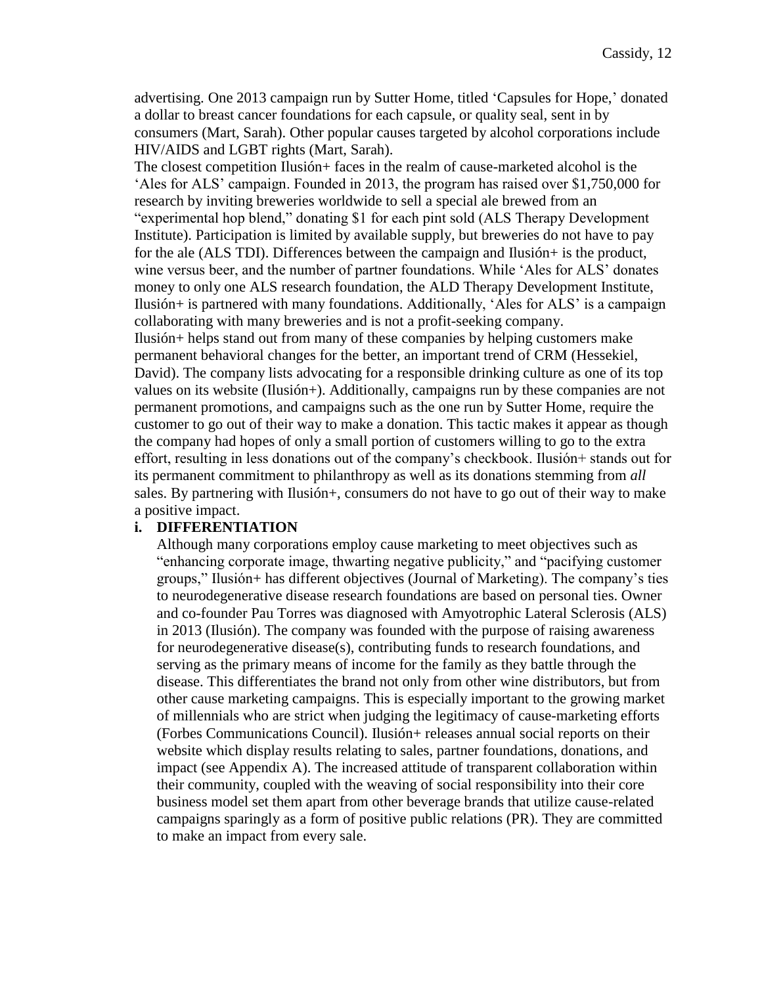advertising. One 2013 campaign run by Sutter Home, titled 'Capsules for Hope,' donated a dollar to breast cancer foundations for each capsule, or quality seal, sent in by consumers (Mart, Sarah). Other popular causes targeted by alcohol corporations include HIV/AIDS and LGBT rights (Mart, Sarah).

The closest competition Ilusión+ faces in the realm of cause-marketed alcohol is the 'Ales for ALS' campaign. Founded in 2013, the program has raised over \$1,750,000 for research by inviting breweries worldwide to sell a special ale brewed from an "experimental hop blend," donating \$1 for each pint sold (ALS Therapy Development Institute). Participation is limited by available supply, but breweries do not have to pay for the ale (ALS TDI). Differences between the campaign and Ilusión+ is the product, wine versus beer, and the number of partner foundations. While 'Ales for ALS' donates money to only one ALS research foundation, the ALD Therapy Development Institute, Ilusión+ is partnered with many foundations. Additionally, 'Ales for ALS' is a campaign collaborating with many breweries and is not a profit-seeking company. Ilusión+ helps stand out from many of these companies by helping customers make permanent behavioral changes for the better, an important trend of CRM (Hessekiel, David). The company lists advocating for a responsible drinking culture as one of its top values on its website (Ilusión+). Additionally, campaigns run by these companies are not permanent promotions, and campaigns such as the one run by Sutter Home, require the customer to go out of their way to make a donation. This tactic makes it appear as though the company had hopes of only a small portion of customers willing to go to the extra effort, resulting in less donations out of the company's checkbook. Ilusión+ stands out for its permanent commitment to philanthropy as well as its donations stemming from *all*  sales. By partnering with Ilusión+, consumers do not have to go out of their way to make a positive impact.

#### **i. DIFFERENTIATION**

Although many corporations employ cause marketing to meet objectives such as "enhancing corporate image, thwarting negative publicity," and "pacifying customer groups," Ilusión+ has different objectives (Journal of Marketing). The company's ties to neurodegenerative disease research foundations are based on personal ties. Owner and co-founder Pau Torres was diagnosed with Amyotrophic Lateral Sclerosis (ALS) in 2013 (Ilusión). The company was founded with the purpose of raising awareness for neurodegenerative disease(s), contributing funds to research foundations, and serving as the primary means of income for the family as they battle through the disease. This differentiates the brand not only from other wine distributors, but from other cause marketing campaigns. This is especially important to the growing market of millennials who are strict when judging the legitimacy of cause-marketing efforts (Forbes Communications Council). Ilusión+ releases annual social reports on their website which display results relating to sales, partner foundations, donations, and impact (see Appendix A). The increased attitude of transparent collaboration within their community, coupled with the weaving of social responsibility into their core business model set them apart from other beverage brands that utilize cause-related campaigns sparingly as a form of positive public relations (PR). They are committed to make an impact from every sale.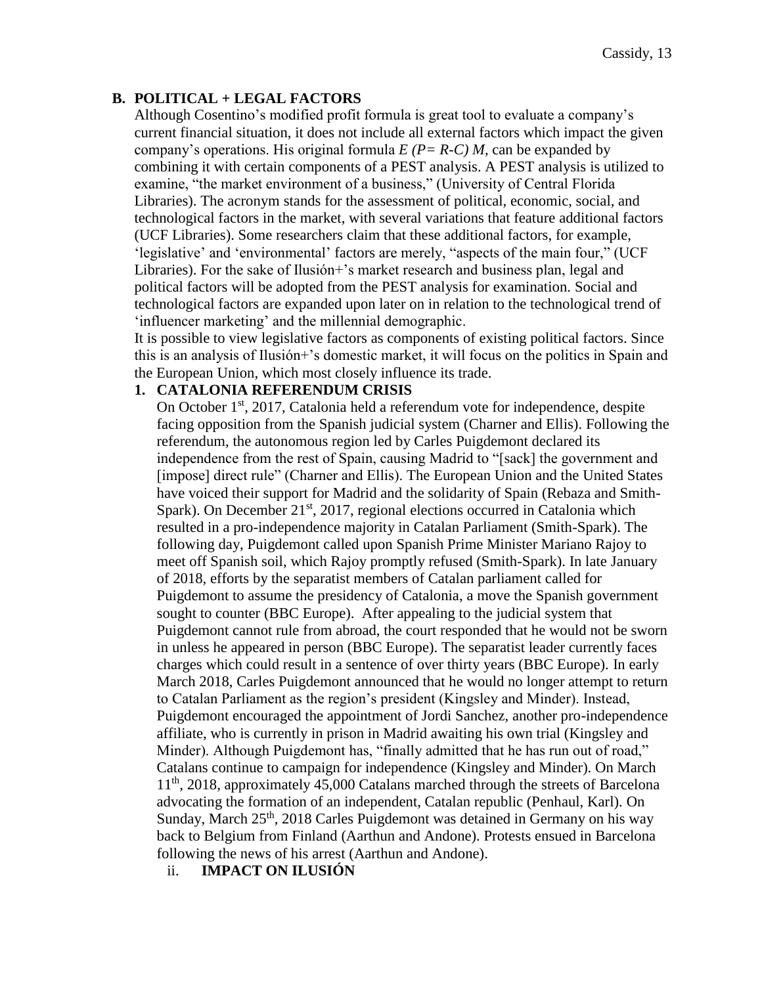# <span id="page-13-0"></span>**B. POLITICAL + LEGAL FACTORS**

Although Cosentino's modified profit formula is great tool to evaluate a company's current financial situation, it does not include all external factors which impact the given company's operations. His original formula  $E(P = R-C) M$ , can be expanded by combining it with certain components of a PEST analysis. A PEST analysis is utilized to examine, "the market environment of a business," (University of Central Florida Libraries). The acronym stands for the assessment of political, economic, social, and technological factors in the market, with several variations that feature additional factors (UCF Libraries). Some researchers claim that these additional factors, for example, 'legislative' and 'environmental' factors are merely, "aspects of the main four," (UCF Libraries). For the sake of Ilusión+'s market research and business plan, legal and political factors will be adopted from the PEST analysis for examination. Social and technological factors are expanded upon later on in relation to the technological trend of 'influencer marketing' and the millennial demographic.

It is possible to view legislative factors as components of existing political factors. Since this is an analysis of Ilusión+'s domestic market, it will focus on the politics in Spain and the European Union, which most closely influence its trade.

## <span id="page-13-1"></span>**1. CATALONIA REFERENDUM CRISIS**

On October 1<sup>st</sup>, 2017, Catalonia held a referendum vote for independence, despite facing opposition from the Spanish judicial system (Charner and Ellis). Following the referendum, the autonomous region led by Carles Puigdemont declared its independence from the rest of Spain, causing Madrid to "[sack] the government and [impose] direct rule" (Charner and Ellis). The European Union and the United States have voiced their support for Madrid and the solidarity of Spain (Rebaza and Smith-Spark). On December  $21<sup>st</sup>$ , 2017, regional elections occurred in Catalonia which resulted in a pro-independence majority in Catalan Parliament (Smith-Spark). The following day, Puigdemont called upon Spanish Prime Minister Mariano Rajoy to meet off Spanish soil, which Rajoy promptly refused (Smith-Spark). In late January of 2018, efforts by the separatist members of Catalan parliament called for Puigdemont to assume the presidency of Catalonia, a move the Spanish government sought to counter (BBC Europe). After appealing to the judicial system that Puigdemont cannot rule from abroad, the court responded that he would not be sworn in unless he appeared in person (BBC Europe). The separatist leader currently faces charges which could result in a sentence of over thirty years (BBC Europe). In early March 2018, Carles Puigdemont announced that he would no longer attempt to return to Catalan Parliament as the region's president (Kingsley and Minder). Instead, Puigdemont encouraged the appointment of Jordi Sanchez, another pro-independence affiliate, who is currently in prison in Madrid awaiting his own trial (Kingsley and Minder). Although Puigdemont has, "finally admitted that he has run out of road," Catalans continue to campaign for independence (Kingsley and Minder). On March 11th, 2018, approximately 45,000 Catalans marched through the streets of Barcelona advocating the formation of an independent, Catalan republic (Penhaul, Karl). On Sunday, March 25<sup>th</sup>, 2018 Carles Puigdemont was detained in Germany on his way back to Belgium from Finland (Aarthun and Andone). Protests ensued in Barcelona following the news of his arrest (Aarthun and Andone).

ii. **IMPACT ON ILUSIÓN**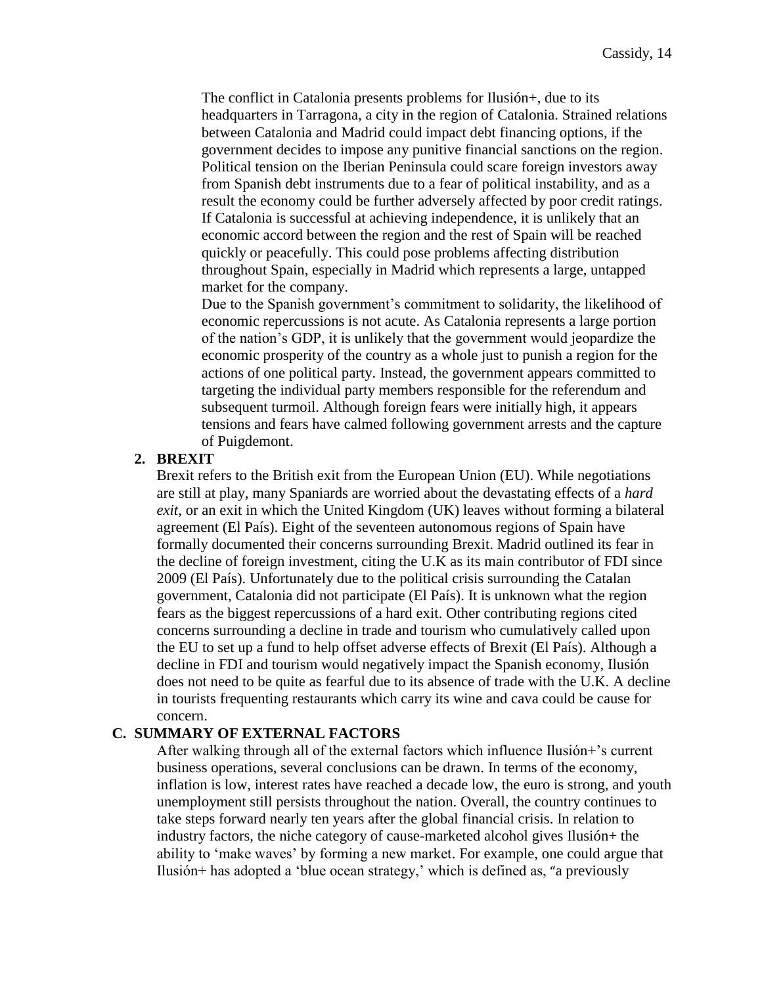The conflict in Catalonia presents problems for Ilusión+, due to its headquarters in Tarragona, a city in the region of Catalonia. Strained relations between Catalonia and Madrid could impact debt financing options, if the government decides to impose any punitive financial sanctions on the region. Political tension on the Iberian Peninsula could scare foreign investors away from Spanish debt instruments due to a fear of political instability, and as a result the economy could be further adversely affected by poor credit ratings. If Catalonia is successful at achieving independence, it is unlikely that an economic accord between the region and the rest of Spain will be reached quickly or peacefully. This could pose problems affecting distribution throughout Spain, especially in Madrid which represents a large, untapped market for the company.

Due to the Spanish government's commitment to solidarity, the likelihood of economic repercussions is not acute. As Catalonia represents a large portion of the nation's GDP, it is unlikely that the government would jeopardize the economic prosperity of the country as a whole just to punish a region for the actions of one political party. Instead, the government appears committed to targeting the individual party members responsible for the referendum and subsequent turmoil. Although foreign fears were initially high, it appears tensions and fears have calmed following government arrests and the capture of Puigdemont.

### <span id="page-14-0"></span>**2. BREXIT**

Brexit refers to the British exit from the European Union (EU). While negotiations are still at play, many Spaniards are worried about the devastating effects of a *hard exit*, or an exit in which the United Kingdom (UK) leaves without forming a bilateral agreement (El País). Eight of the seventeen autonomous regions of Spain have formally documented their concerns surrounding Brexit. Madrid outlined its fear in the decline of foreign investment, citing the U.K as its main contributor of FDI since 2009 (El País). Unfortunately due to the political crisis surrounding the Catalan government, Catalonia did not participate (El País). It is unknown what the region fears as the biggest repercussions of a hard exit. Other contributing regions cited concerns surrounding a decline in trade and tourism who cumulatively called upon the EU to set up a fund to help offset adverse effects of Brexit (El País). Although a decline in FDI and tourism would negatively impact the Spanish economy, Ilusión does not need to be quite as fearful due to its absence of trade with the U.K. A decline in tourists frequenting restaurants which carry its wine and cava could be cause for concern.

#### <span id="page-14-1"></span>**C. SUMMARY OF EXTERNAL FACTORS**

After walking through all of the external factors which influence Ilusión+'s current business operations, several conclusions can be drawn. In terms of the economy, inflation is low, interest rates have reached a decade low, the euro is strong, and youth unemployment still persists throughout the nation. Overall, the country continues to take steps forward nearly ten years after the global financial crisis. In relation to industry factors, the niche category of cause-marketed alcohol gives Ilusión+ the ability to 'make waves' by forming a new market. For example, one could argue that Ilusión+ has adopted a 'blue ocean strategy,' which is defined as, "a previously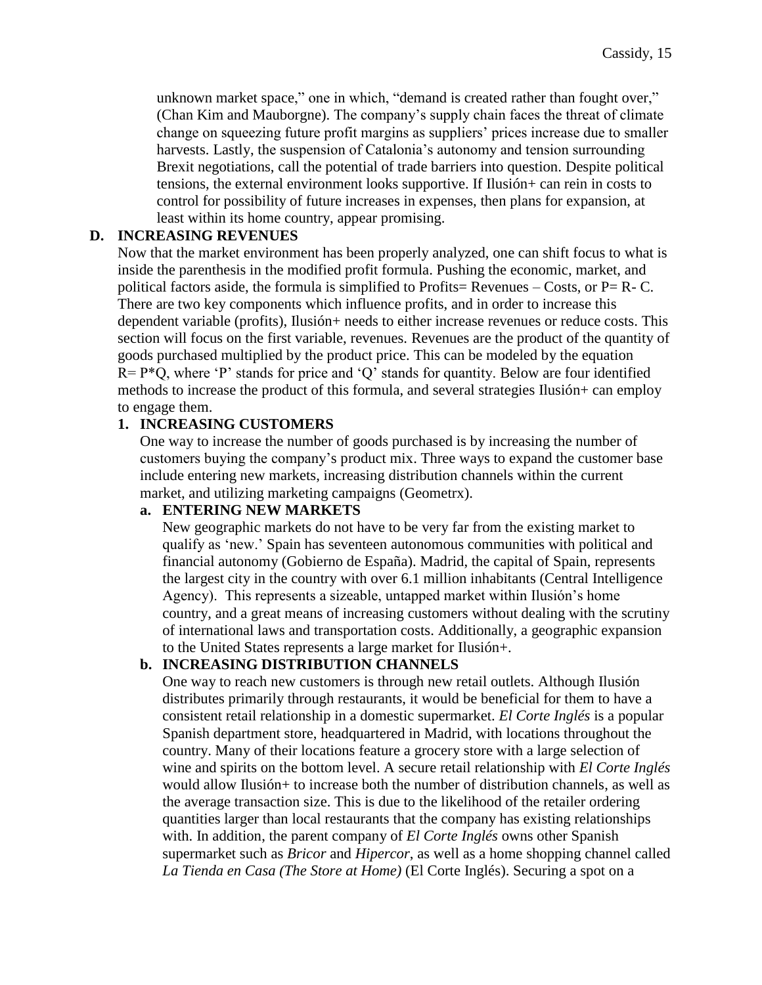unknown market space," one in which, "demand is created rather than fought over," (Chan Kim and Mauborgne). The company's supply chain faces the threat of climate change on squeezing future profit margins as suppliers' prices increase due to smaller harvests. Lastly, the suspension of Catalonia's autonomy and tension surrounding Brexit negotiations, call the potential of trade barriers into question. Despite political tensions, the external environment looks supportive. If Ilusión+ can rein in costs to control for possibility of future increases in expenses, then plans for expansion, at least within its home country, appear promising.

## <span id="page-15-0"></span>**D. INCREASING REVENUES**

Now that the market environment has been properly analyzed, one can shift focus to what is inside the parenthesis in the modified profit formula. Pushing the economic, market, and political factors aside, the formula is simplified to Profits= Revenues – Costs, or  $P = R - C$ . There are two key components which influence profits, and in order to increase this dependent variable (profits), Ilusión+ needs to either increase revenues or reduce costs. This section will focus on the first variable, revenues. Revenues are the product of the quantity of goods purchased multiplied by the product price. This can be modeled by the equation  $R = P*Q$ , where 'P' stands for price and 'Q' stands for quantity. Below are four identified methods to increase the product of this formula, and several strategies Ilusión+ can employ to engage them.

## <span id="page-15-1"></span>**1. INCREASING CUSTOMERS**

One way to increase the number of goods purchased is by increasing the number of customers buying the company's product mix. Three ways to expand the customer base include entering new markets, increasing distribution channels within the current market, and utilizing marketing campaigns (Geometrx).

### <span id="page-15-2"></span>**a. ENTERING NEW MARKETS**

New geographic markets do not have to be very far from the existing market to qualify as 'new.' Spain has seventeen autonomous communities with political and financial autonomy (Gobierno de España). Madrid, the capital of Spain, represents the largest city in the country with over 6.1 million inhabitants (Central Intelligence Agency). This represents a sizeable, untapped market within Ilusión's home country, and a great means of increasing customers without dealing with the scrutiny of international laws and transportation costs. Additionally, a geographic expansion to the United States represents a large market for Ilusión+.

### <span id="page-15-3"></span>**b. INCREASING DISTRIBUTION CHANNELS**

One way to reach new customers is through new retail outlets. Although Ilusión distributes primarily through restaurants, it would be beneficial for them to have a consistent retail relationship in a domestic supermarket. *El Corte Inglés* is a popular Spanish department store, headquartered in Madrid, with locations throughout the country. Many of their locations feature a grocery store with a large selection of wine and spirits on the bottom level. A secure retail relationship with *El Corte Inglés*  would allow Ilusión+ to increase both the number of distribution channels, as well as the average transaction size. This is due to the likelihood of the retailer ordering quantities larger than local restaurants that the company has existing relationships with. In addition, the parent company of *El Corte Inglés* owns other Spanish supermarket such as *Bricor* and *Hipercor*, as well as a home shopping channel called *La Tienda en Casa (The Store at Home)* (El Corte Inglés). Securing a spot on a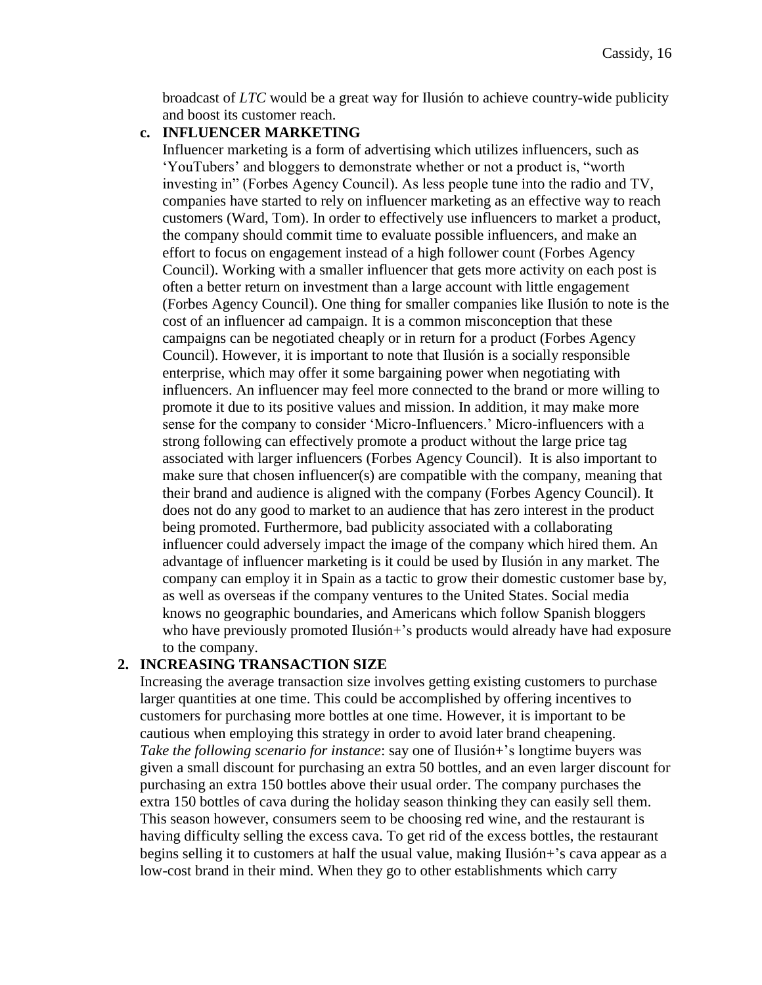broadcast of *LTC* would be a great way for Ilusión to achieve country-wide publicity and boost its customer reach.

#### <span id="page-16-0"></span>**c. INFLUENCER MARKETING**

Influencer marketing is a form of advertising which utilizes influencers, such as 'YouTubers' and bloggers to demonstrate whether or not a product is, "worth investing in" (Forbes Agency Council). As less people tune into the radio and TV, companies have started to rely on influencer marketing as an effective way to reach customers (Ward, Tom). In order to effectively use influencers to market a product, the company should commit time to evaluate possible influencers, and make an effort to focus on engagement instead of a high follower count (Forbes Agency Council). Working with a smaller influencer that gets more activity on each post is often a better return on investment than a large account with little engagement (Forbes Agency Council). One thing for smaller companies like Ilusión to note is the cost of an influencer ad campaign. It is a common misconception that these campaigns can be negotiated cheaply or in return for a product (Forbes Agency Council). However, it is important to note that Ilusión is a socially responsible enterprise, which may offer it some bargaining power when negotiating with influencers. An influencer may feel more connected to the brand or more willing to promote it due to its positive values and mission. In addition, it may make more sense for the company to consider 'Micro-Influencers.' Micro-influencers with a strong following can effectively promote a product without the large price tag associated with larger influencers (Forbes Agency Council). It is also important to make sure that chosen influencer(s) are compatible with the company, meaning that their brand and audience is aligned with the company (Forbes Agency Council). It does not do any good to market to an audience that has zero interest in the product being promoted. Furthermore, bad publicity associated with a collaborating influencer could adversely impact the image of the company which hired them. An advantage of influencer marketing is it could be used by Ilusión in any market. The company can employ it in Spain as a tactic to grow their domestic customer base by, as well as overseas if the company ventures to the United States. Social media knows no geographic boundaries, and Americans which follow Spanish bloggers who have previously promoted Ilusión+'s products would already have had exposure to the company.

#### <span id="page-16-1"></span>**2. INCREASING TRANSACTION SIZE**

Increasing the average transaction size involves getting existing customers to purchase larger quantities at one time. This could be accomplished by offering incentives to customers for purchasing more bottles at one time. However, it is important to be cautious when employing this strategy in order to avoid later brand cheapening. *Take the following scenario for instance*: say one of Ilusión+'s longtime buyers was given a small discount for purchasing an extra 50 bottles, and an even larger discount for purchasing an extra 150 bottles above their usual order. The company purchases the extra 150 bottles of cava during the holiday season thinking they can easily sell them. This season however, consumers seem to be choosing red wine, and the restaurant is having difficulty selling the excess cava. To get rid of the excess bottles, the restaurant begins selling it to customers at half the usual value, making Ilusión+'s cava appear as a low-cost brand in their mind. When they go to other establishments which carry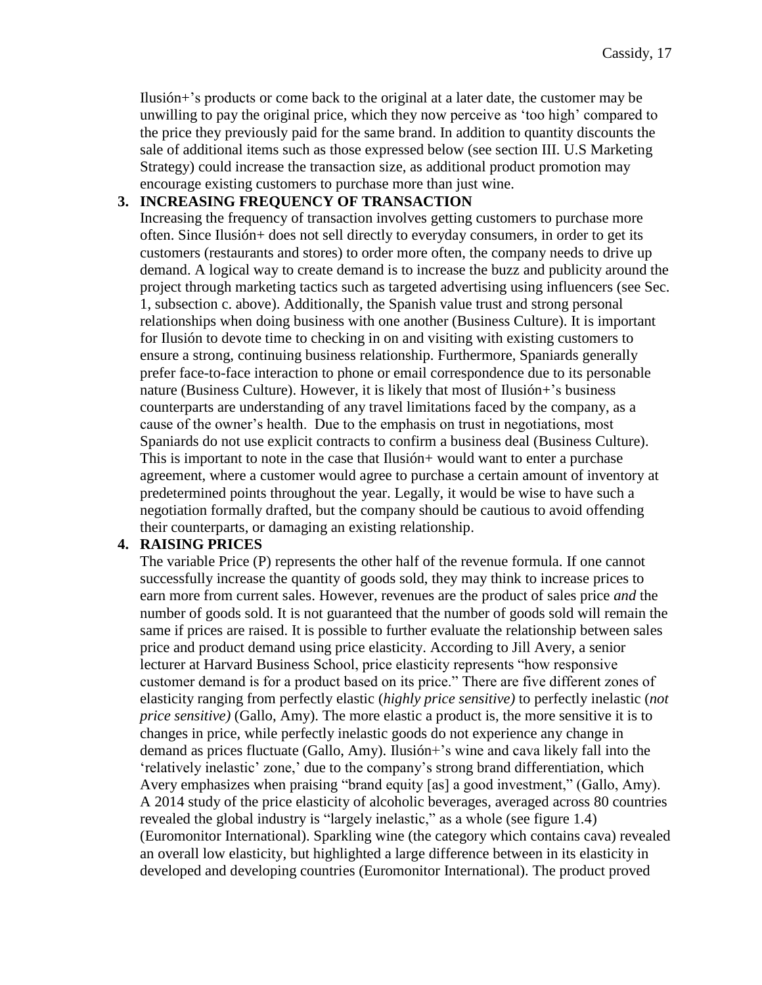Ilusión+'s products or come back to the original at a later date, the customer may be unwilling to pay the original price, which they now perceive as 'too high' compared to the price they previously paid for the same brand. In addition to quantity discounts the sale of additional items such as those expressed below (see section III. U.S Marketing Strategy) could increase the transaction size, as additional product promotion may encourage existing customers to purchase more than just wine.

#### <span id="page-17-0"></span>**3. INCREASING FREQUENCY OF TRANSACTION**

Increasing the frequency of transaction involves getting customers to purchase more often. Since Ilusión+ does not sell directly to everyday consumers, in order to get its customers (restaurants and stores) to order more often, the company needs to drive up demand. A logical way to create demand is to increase the buzz and publicity around the project through marketing tactics such as targeted advertising using influencers (see Sec. 1, subsection c. above). Additionally, the Spanish value trust and strong personal relationships when doing business with one another (Business Culture). It is important for Ilusión to devote time to checking in on and visiting with existing customers to ensure a strong, continuing business relationship. Furthermore, Spaniards generally prefer face-to-face interaction to phone or email correspondence due to its personable nature (Business Culture). However, it is likely that most of Ilusión+'s business counterparts are understanding of any travel limitations faced by the company, as a cause of the owner's health. Due to the emphasis on trust in negotiations, most Spaniards do not use explicit contracts to confirm a business deal (Business Culture). This is important to note in the case that Ilusión+ would want to enter a purchase agreement, where a customer would agree to purchase a certain amount of inventory at predetermined points throughout the year. Legally, it would be wise to have such a negotiation formally drafted, but the company should be cautious to avoid offending their counterparts, or damaging an existing relationship.

### <span id="page-17-1"></span>**4. RAISING PRICES**

The variable Price (P) represents the other half of the revenue formula. If one cannot successfully increase the quantity of goods sold, they may think to increase prices to earn more from current sales. However, revenues are the product of sales price *and* the number of goods sold. It is not guaranteed that the number of goods sold will remain the same if prices are raised. It is possible to further evaluate the relationship between sales price and product demand using price elasticity. According to Jill Avery, a senior lecturer at Harvard Business School, price elasticity represents "how responsive customer demand is for a product based on its price." There are five different zones of elasticity ranging from perfectly elastic (*highly price sensitive)* to perfectly inelastic (*not price sensitive)* (Gallo, Amy). The more elastic a product is, the more sensitive it is to changes in price, while perfectly inelastic goods do not experience any change in demand as prices fluctuate (Gallo, Amy). Ilusión+'s wine and cava likely fall into the 'relatively inelastic' zone,' due to the company's strong brand differentiation, which Avery emphasizes when praising "brand equity [as] a good investment," (Gallo, Amy). A 2014 study of the price elasticity of alcoholic beverages, averaged across 80 countries revealed the global industry is "largely inelastic," as a whole (see figure 1.4) (Euromonitor International). Sparkling wine (the category which contains cava) revealed an overall low elasticity, but highlighted a large difference between in its elasticity in developed and developing countries (Euromonitor International). The product proved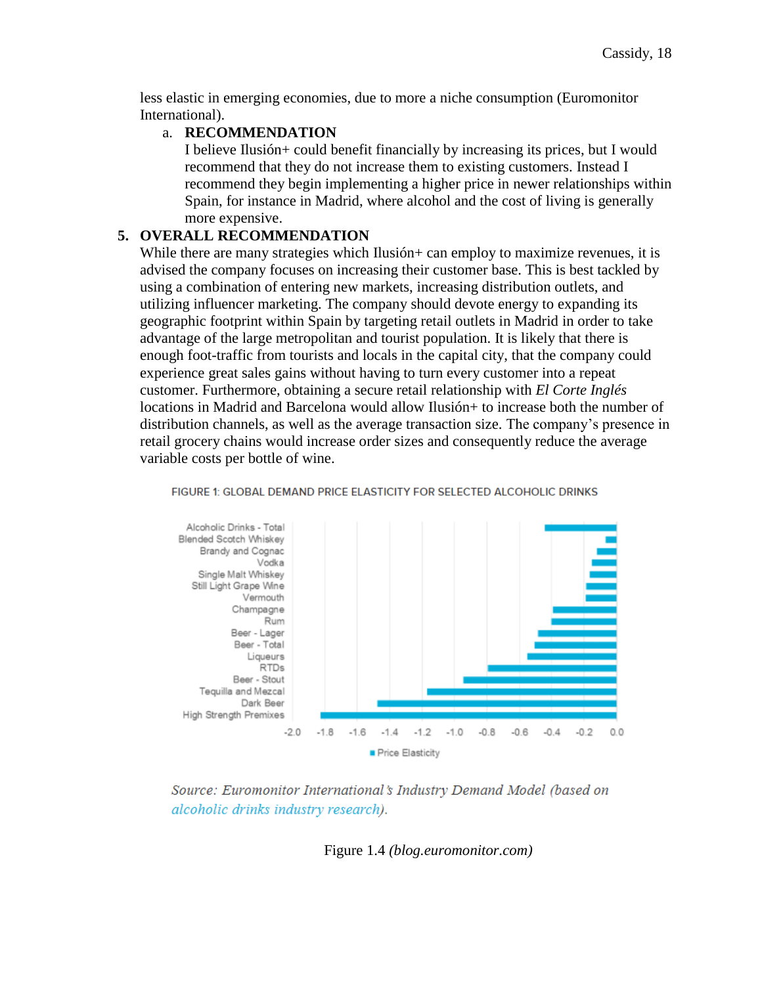less elastic in emerging economies, due to more a niche consumption (Euromonitor International).

#### a. **RECOMMENDATION**

I believe Ilusión+ could benefit financially by increasing its prices, but I would recommend that they do not increase them to existing customers. Instead I recommend they begin implementing a higher price in newer relationships within Spain, for instance in Madrid, where alcohol and the cost of living is generally more expensive.

## **5. OVERALL RECOMMENDATION**

While there are many strategies which Ilusión + can employ to maximize revenues, it is advised the company focuses on increasing their customer base. This is best tackled by using a combination of entering new markets, increasing distribution outlets, and utilizing influencer marketing. The company should devote energy to expanding its geographic footprint within Spain by targeting retail outlets in Madrid in order to take advantage of the large metropolitan and tourist population. It is likely that there is enough foot-traffic from tourists and locals in the capital city, that the company could experience great sales gains without having to turn every customer into a repeat customer. Furthermore, obtaining a secure retail relationship with *El Corte Inglés*  locations in Madrid and Barcelona would allow Ilusión+ to increase both the number of distribution channels, as well as the average transaction size. The company's presence in retail grocery chains would increase order sizes and consequently reduce the average variable costs per bottle of wine.



#### FIGURE 1: GLOBAL DEMAND PRICE ELASTICITY FOR SELECTED ALCOHOLIC DRINKS

Source: Euromonitor International's Industry Demand Model (based on alcoholic drinks industry research).

Figure 1.4 *(blog.euromonitor.com)*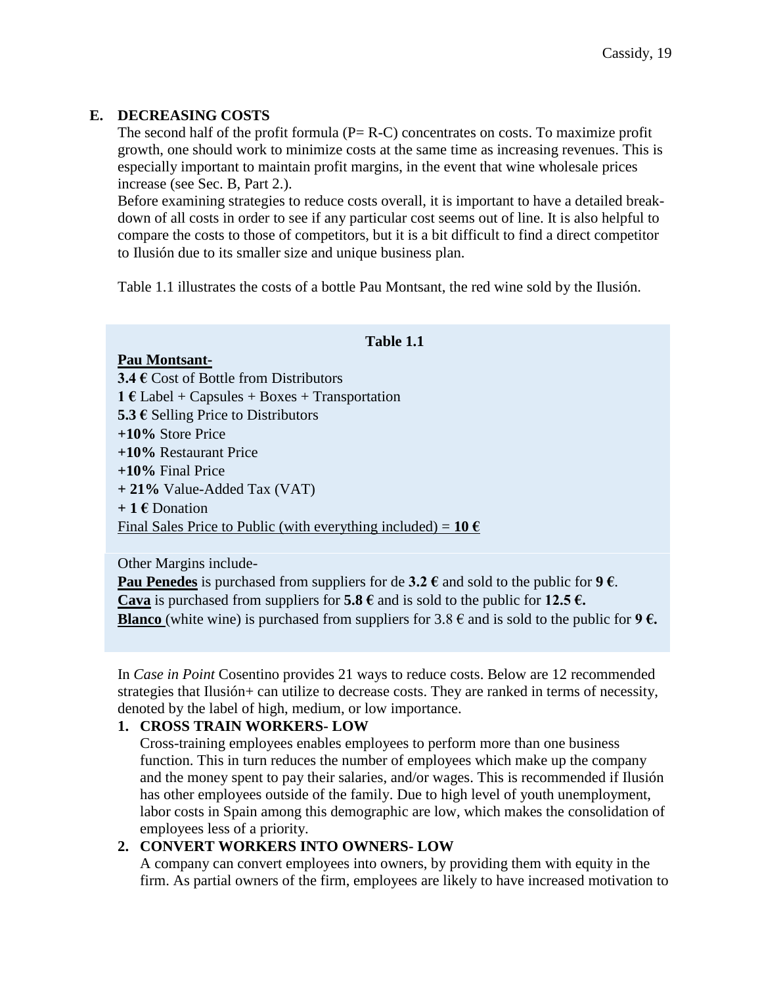# <span id="page-19-0"></span>**E. DECREASING COSTS**

The second half of the profit formula  $(P = R - C)$  concentrates on costs. To maximize profit growth, one should work to minimize costs at the same time as increasing revenues. This is especially important to maintain profit margins, in the event that wine wholesale prices increase (see Sec. B, Part 2.).

Before examining strategies to reduce costs overall, it is important to have a detailed breakdown of all costs in order to see if any particular cost seems out of line. It is also helpful to compare the costs to those of competitors, but it is a bit difficult to find a direct competitor to Ilusión due to its smaller size and unique business plan.

Table 1.1 illustrates the costs of a bottle Pau Montsant, the red wine sold by the Ilusión.

## **Table 1.1**

#### **Pau Montsant-**

**3.4 €** Cost of Bottle from Distributors **1 €** Label + Capsules + Boxes + Transportation **5.3 €** Selling Price to Distributors **+10%** Store Price **+10%** Restaurant Price **+10%** Final Price **+ 21%** Value-Added Tax (VAT) **+ 1 €** Donation Final Sales Price to Public (with everything included) =  $10 \text{ } \in$ 

Other Margins include-

**Pau Penedes** is purchased from suppliers for de  $3.2 \text{ }\epsilon$  and sold to the public for  $9 \epsilon$ . **Cava** is purchased from suppliers for **5.8 €** and is sold to the public for **12.5 €. Blanco** (white wine) is purchased from suppliers for  $3.8 \in \mathbb{R}$  and is sold to the public for  $9 \in \mathbb{R}$ .

In *Case in Point* Cosentino provides 21 ways to reduce costs. Below are 12 recommended strategies that Ilusión+ can utilize to decrease costs. They are ranked in terms of necessity, denoted by the label of high, medium, or low importance.

### <span id="page-19-1"></span>**1. CROSS TRAIN WORKERS- LOW**

Cross-training employees enables employees to perform more than one business function. This in turn reduces the number of employees which make up the company and the money spent to pay their salaries, and/or wages. This is recommended if Ilusión has other employees outside of the family. Due to high level of youth unemployment, labor costs in Spain among this demographic are low, which makes the consolidation of employees less of a priority.

# <span id="page-19-2"></span>**2. CONVERT WORKERS INTO OWNERS- LOW**

A company can convert employees into owners, by providing them with equity in the firm. As partial owners of the firm, employees are likely to have increased motivation to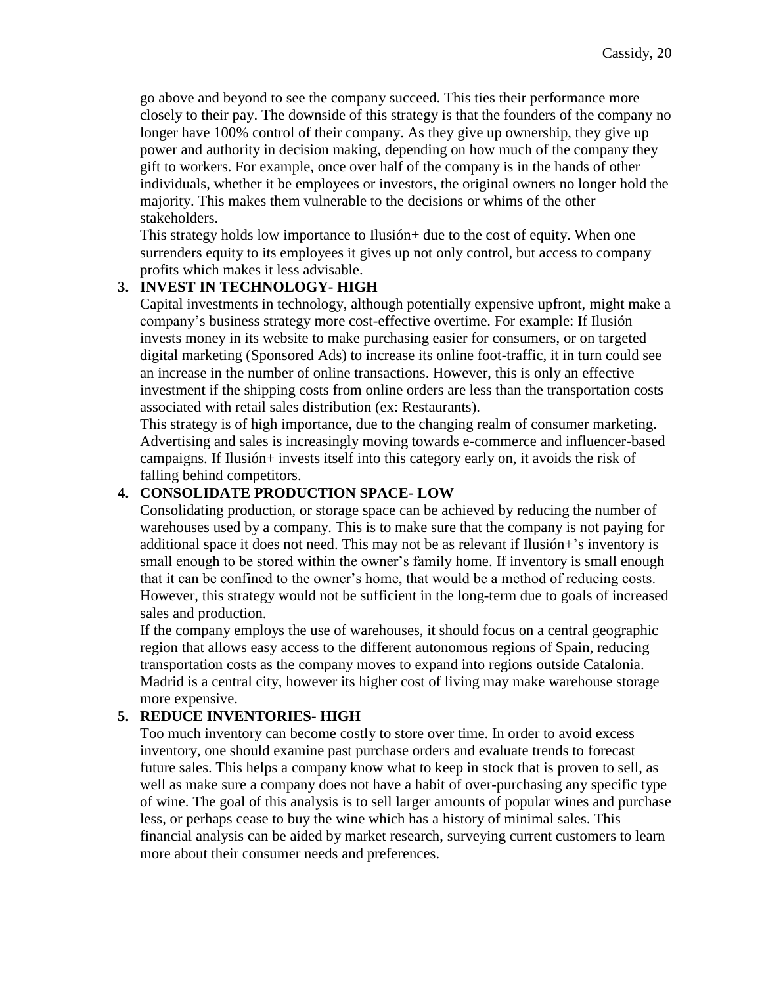go above and beyond to see the company succeed. This ties their performance more closely to their pay. The downside of this strategy is that the founders of the company no longer have 100% control of their company. As they give up ownership, they give up power and authority in decision making, depending on how much of the company they gift to workers. For example, once over half of the company is in the hands of other individuals, whether it be employees or investors, the original owners no longer hold the majority. This makes them vulnerable to the decisions or whims of the other stakeholders.

This strategy holds low importance to Ilusión+ due to the cost of equity. When one surrenders equity to its employees it gives up not only control, but access to company profits which makes it less advisable.

## <span id="page-20-0"></span>**3. INVEST IN TECHNOLOGY- HIGH**

Capital investments in technology, although potentially expensive upfront, might make a company's business strategy more cost-effective overtime. For example: If Ilusión invests money in its website to make purchasing easier for consumers, or on targeted digital marketing (Sponsored Ads) to increase its online foot-traffic, it in turn could see an increase in the number of online transactions. However, this is only an effective investment if the shipping costs from online orders are less than the transportation costs associated with retail sales distribution (ex: Restaurants).

This strategy is of high importance, due to the changing realm of consumer marketing. Advertising and sales is increasingly moving towards e-commerce and influencer-based campaigns. If Ilusión+ invests itself into this category early on, it avoids the risk of falling behind competitors.

## <span id="page-20-1"></span>**4. CONSOLIDATE PRODUCTION SPACE- LOW**

Consolidating production, or storage space can be achieved by reducing the number of warehouses used by a company. This is to make sure that the company is not paying for additional space it does not need. This may not be as relevant if Ilusión+'s inventory is small enough to be stored within the owner's family home. If inventory is small enough that it can be confined to the owner's home, that would be a method of reducing costs. However, this strategy would not be sufficient in the long-term due to goals of increased sales and production.

If the company employs the use of warehouses, it should focus on a central geographic region that allows easy access to the different autonomous regions of Spain, reducing transportation costs as the company moves to expand into regions outside Catalonia. Madrid is a central city, however its higher cost of living may make warehouse storage more expensive.

### <span id="page-20-2"></span>**5. REDUCE INVENTORIES- HIGH**

Too much inventory can become costly to store over time. In order to avoid excess inventory, one should examine past purchase orders and evaluate trends to forecast future sales. This helps a company know what to keep in stock that is proven to sell, as well as make sure a company does not have a habit of over-purchasing any specific type of wine. The goal of this analysis is to sell larger amounts of popular wines and purchase less, or perhaps cease to buy the wine which has a history of minimal sales. This financial analysis can be aided by market research, surveying current customers to learn more about their consumer needs and preferences.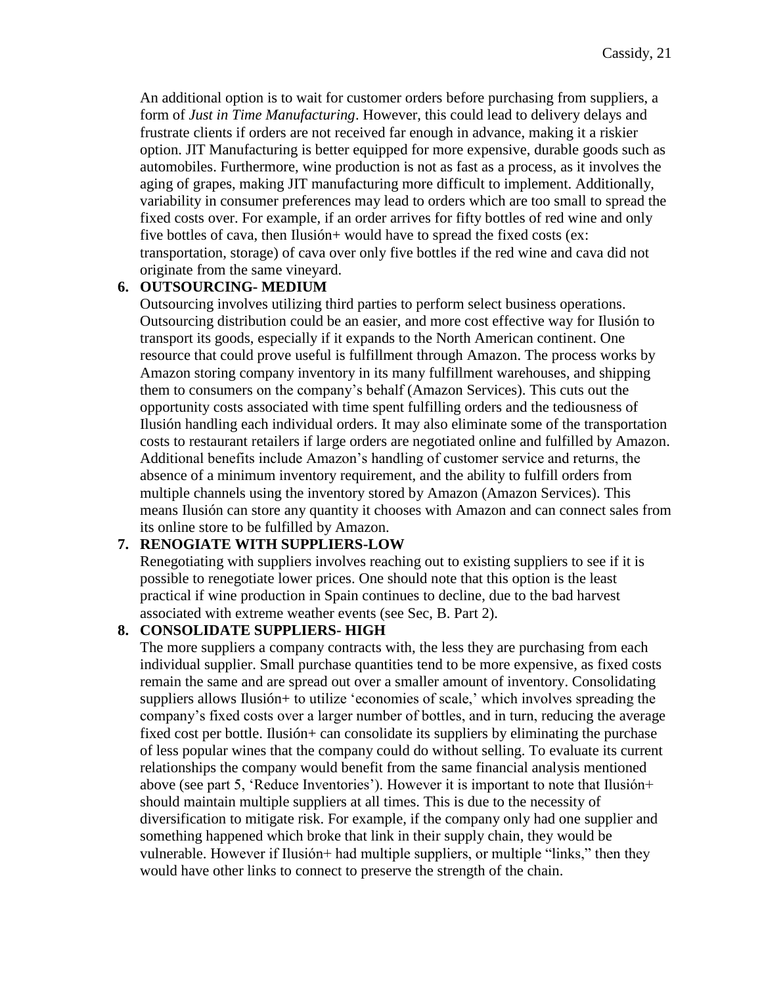An additional option is to wait for customer orders before purchasing from suppliers, a form of *Just in Time Manufacturing*. However, this could lead to delivery delays and frustrate clients if orders are not received far enough in advance, making it a riskier option. JIT Manufacturing is better equipped for more expensive, durable goods such as automobiles. Furthermore, wine production is not as fast as a process, as it involves the aging of grapes, making JIT manufacturing more difficult to implement. Additionally, variability in consumer preferences may lead to orders which are too small to spread the fixed costs over. For example, if an order arrives for fifty bottles of red wine and only five bottles of cava, then Ilusión+ would have to spread the fixed costs (ex: transportation, storage) of cava over only five bottles if the red wine and cava did not originate from the same vineyard.

#### <span id="page-21-0"></span>**6. OUTSOURCING- MEDIUM**

Outsourcing involves utilizing third parties to perform select business operations. Outsourcing distribution could be an easier, and more cost effective way for Ilusión to transport its goods, especially if it expands to the North American continent. One resource that could prove useful is fulfillment through Amazon. The process works by Amazon storing company inventory in its many fulfillment warehouses, and shipping them to consumers on the company's behalf (Amazon Services). This cuts out the opportunity costs associated with time spent fulfilling orders and the tediousness of Ilusión handling each individual orders. It may also eliminate some of the transportation costs to restaurant retailers if large orders are negotiated online and fulfilled by Amazon. Additional benefits include Amazon's handling of customer service and returns, the absence of a minimum inventory requirement, and the ability to fulfill orders from multiple channels using the inventory stored by Amazon (Amazon Services). This means Ilusión can store any quantity it chooses with Amazon and can connect sales from its online store to be fulfilled by Amazon.

### <span id="page-21-1"></span>**7. RENOGIATE WITH SUPPLIERS-LOW**

Renegotiating with suppliers involves reaching out to existing suppliers to see if it is possible to renegotiate lower prices. One should note that this option is the least practical if wine production in Spain continues to decline, due to the bad harvest associated with extreme weather events (see Sec, B. Part 2).

# <span id="page-21-2"></span>**8. CONSOLIDATE SUPPLIERS- HIGH**

The more suppliers a company contracts with, the less they are purchasing from each individual supplier. Small purchase quantities tend to be more expensive, as fixed costs remain the same and are spread out over a smaller amount of inventory. Consolidating suppliers allows Ilusión+ to utilize 'economies of scale,' which involves spreading the company's fixed costs over a larger number of bottles, and in turn, reducing the average fixed cost per bottle. Ilusión+ can consolidate its suppliers by eliminating the purchase of less popular wines that the company could do without selling. To evaluate its current relationships the company would benefit from the same financial analysis mentioned above (see part 5, 'Reduce Inventories'). However it is important to note that Ilusión+ should maintain multiple suppliers at all times. This is due to the necessity of diversification to mitigate risk. For example, if the company only had one supplier and something happened which broke that link in their supply chain, they would be vulnerable. However if Ilusión+ had multiple suppliers, or multiple "links," then they would have other links to connect to preserve the strength of the chain.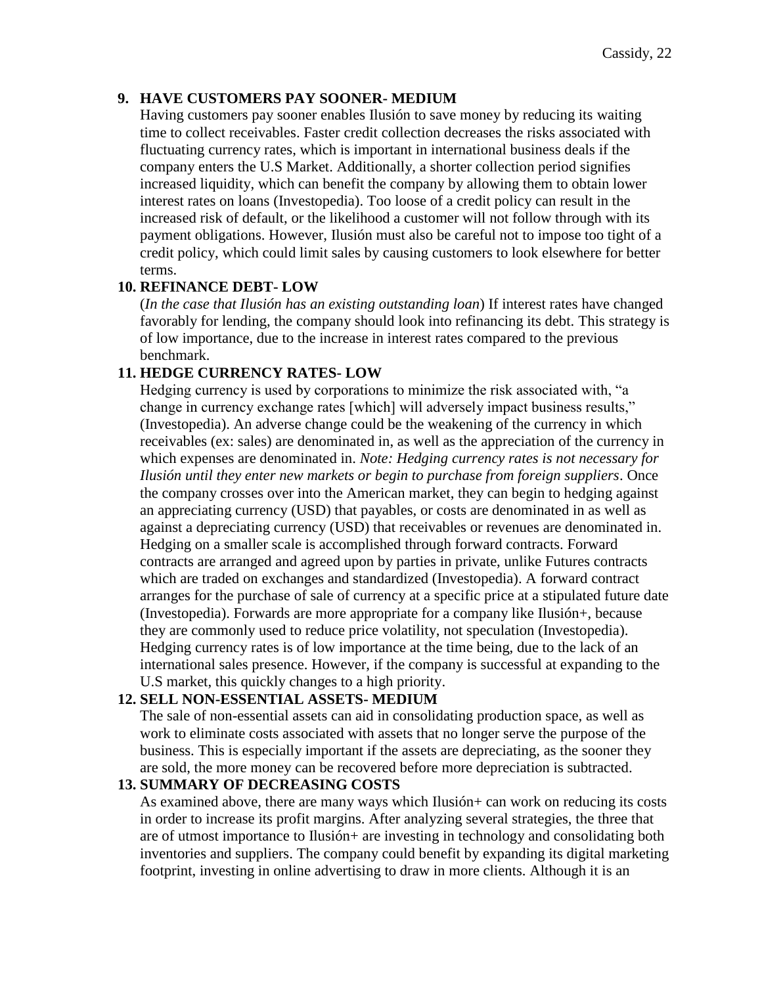### <span id="page-22-0"></span>**9. HAVE CUSTOMERS PAY SOONER- MEDIUM**

Having customers pay sooner enables Ilusión to save money by reducing its waiting time to collect receivables. Faster credit collection decreases the risks associated with fluctuating currency rates, which is important in international business deals if the company enters the U.S Market. Additionally, a shorter collection period signifies increased liquidity, which can benefit the company by allowing them to obtain lower interest rates on loans (Investopedia). Too loose of a credit policy can result in the increased risk of default, or the likelihood a customer will not follow through with its payment obligations. However, Ilusión must also be careful not to impose too tight of a credit policy, which could limit sales by causing customers to look elsewhere for better terms.

### <span id="page-22-1"></span>**10. REFINANCE DEBT- LOW**

(*In the case that Ilusión has an existing outstanding loan*) If interest rates have changed favorably for lending, the company should look into refinancing its debt. This strategy is of low importance, due to the increase in interest rates compared to the previous benchmark.

### <span id="page-22-2"></span>**11. HEDGE CURRENCY RATES- LOW**

Hedging currency is used by corporations to minimize the risk associated with, "a change in currency exchange rates [which] will adversely impact business results," (Investopedia). An adverse change could be the weakening of the currency in which receivables (ex: sales) are denominated in, as well as the appreciation of the currency in which expenses are denominated in. *Note: Hedging currency rates is not necessary for Ilusión until they enter new markets or begin to purchase from foreign suppliers*. Once the company crosses over into the American market, they can begin to hedging against an appreciating currency (USD) that payables, or costs are denominated in as well as against a depreciating currency (USD) that receivables or revenues are denominated in. Hedging on a smaller scale is accomplished through forward contracts. Forward contracts are arranged and agreed upon by parties in private, unlike Futures contracts which are traded on exchanges and standardized (Investopedia). A forward contract arranges for the purchase of sale of currency at a specific price at a stipulated future date (Investopedia). Forwards are more appropriate for a company like Ilusión+, because they are commonly used to reduce price volatility, not speculation (Investopedia). Hedging currency rates is of low importance at the time being, due to the lack of an international sales presence. However, if the company is successful at expanding to the U.S market, this quickly changes to a high priority.

### <span id="page-22-3"></span>**12. SELL NON-ESSENTIAL ASSETS- MEDIUM**

The sale of non-essential assets can aid in consolidating production space, as well as work to eliminate costs associated with assets that no longer serve the purpose of the business. This is especially important if the assets are depreciating, as the sooner they are sold, the more money can be recovered before more depreciation is subtracted.

### <span id="page-22-4"></span>**13. SUMMARY OF DECREASING COSTS**

As examined above, there are many ways which Ilusión+ can work on reducing its costs in order to increase its profit margins. After analyzing several strategies, the three that are of utmost importance to Ilusión+ are investing in technology and consolidating both inventories and suppliers. The company could benefit by expanding its digital marketing footprint, investing in online advertising to draw in more clients. Although it is an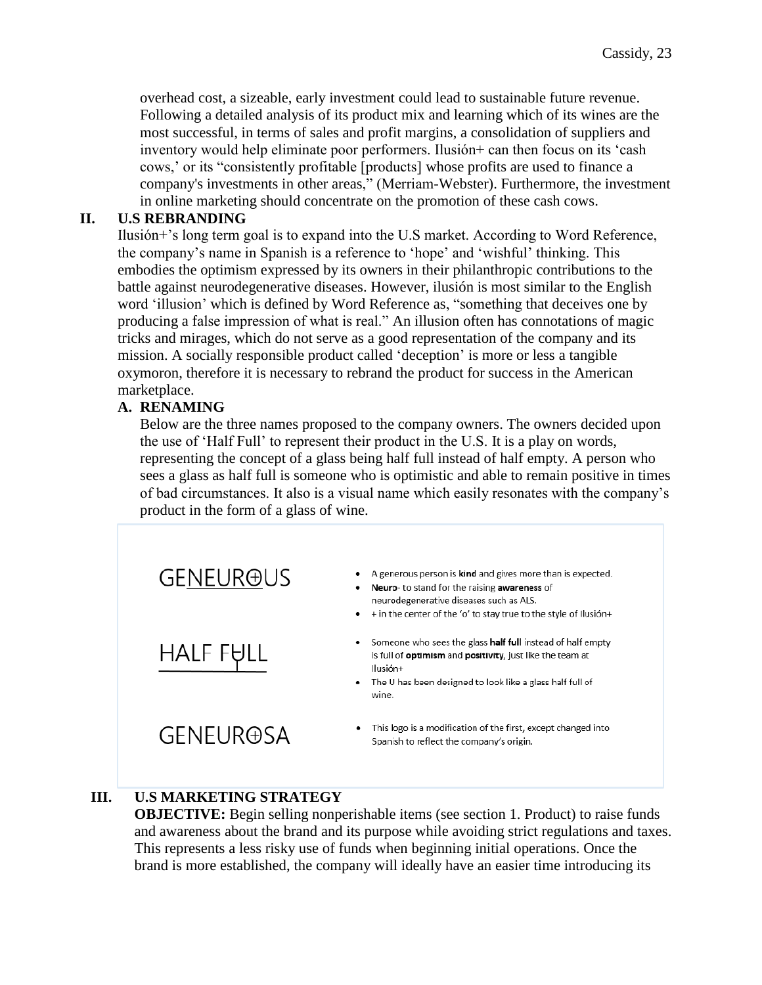overhead cost, a sizeable, early investment could lead to sustainable future revenue. Following a detailed analysis of its product mix and learning which of its wines are the most successful, in terms of sales and profit margins, a consolidation of suppliers and inventory would help eliminate poor performers. Ilusión+ can then focus on its 'cash cows,' or its "consistently profitable [products] whose profits are used to finance a company's investments in other areas," (Merriam-Webster). Furthermore, the investment in online marketing should concentrate on the promotion of these cash cows.

# <span id="page-23-0"></span>**II. U.S REBRANDING**

Ilusión+'s long term goal is to expand into the U.S market. According to Word Reference, the company's name in Spanish is a reference to 'hope' and 'wishful' thinking. This embodies the optimism expressed by its owners in their philanthropic contributions to the battle against neurodegenerative diseases. However, ilusión is most similar to the English word 'illusion' which is defined by Word Reference as, "something that deceives one by producing a false impression of what is real." An illusion often has connotations of magic tricks and mirages, which do not serve as a good representation of the company and its mission. A socially responsible product called 'deception' is more or less a tangible oxymoron, therefore it is necessary to rebrand the product for success in the American marketplace.

# <span id="page-23-1"></span>**A. RENAMING**

Below are the three names proposed to the company owners. The owners decided upon the use of 'Half Full' to represent their product in the U.S. It is a play on words, representing the concept of a glass being half full instead of half empty. A person who sees a glass as half full is someone who is optimistic and able to remain positive in times of bad circumstances. It also is a visual name which easily resonates with the company's product in the form of a glass of wine.



# <span id="page-23-2"></span>**III. U.S MARKETING STRATEGY**

**OBJECTIVE:** Begin selling nonperishable items (see section 1. Product) to raise funds and awareness about the brand and its purpose while avoiding strict regulations and taxes. This represents a less risky use of funds when beginning initial operations. Once the brand is more established, the company will ideally have an easier time introducing its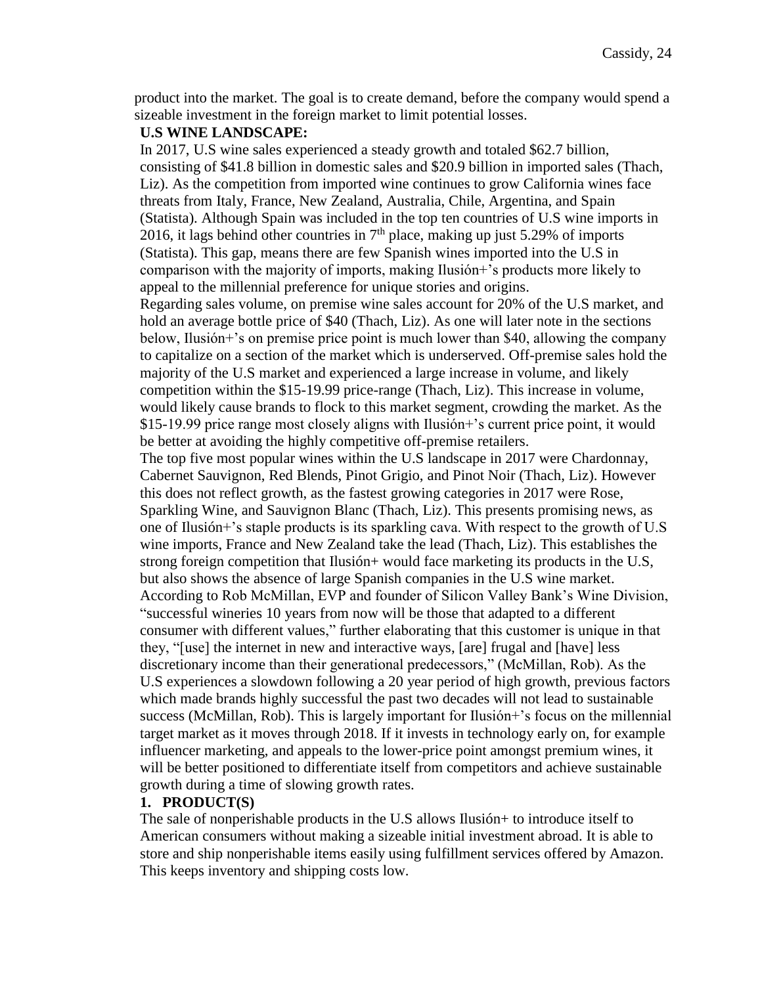product into the market. The goal is to create demand, before the company would spend a sizeable investment in the foreign market to limit potential losses.

#### **U.S WINE LANDSCAPE:**

In 2017, U.S wine sales experienced a steady growth and totaled \$62.7 billion, consisting of \$41.8 billion in domestic sales and \$20.9 billion in imported sales (Thach, Liz). As the competition from imported wine continues to grow California wines face threats from Italy, France, New Zealand, Australia, Chile, Argentina, and Spain (Statista). Although Spain was included in the top ten countries of U.S wine imports in 2016, it lags behind other countries in  $7<sup>th</sup>$  place, making up just 5.29% of imports (Statista). This gap, means there are few Spanish wines imported into the U.S in comparison with the majority of imports, making Ilusión+'s products more likely to appeal to the millennial preference for unique stories and origins. Regarding sales volume, on premise wine sales account for 20% of the U.S market, and hold an average bottle price of \$40 (Thach, Liz). As one will later note in the sections below, Ilusión+'s on premise price point is much lower than \$40, allowing the company to capitalize on a section of the market which is underserved. Off-premise sales hold the majority of the U.S market and experienced a large increase in volume, and likely competition within the \$15-19.99 price-range (Thach, Liz). This increase in volume, would likely cause brands to flock to this market segment, crowding the market. As the \$15-19.99 price range most closely aligns with Ilusión+'s current price point, it would

be better at avoiding the highly competitive off-premise retailers. The top five most popular wines within the U.S landscape in 2017 were Chardonnay, Cabernet Sauvignon, Red Blends, Pinot Grigio, and Pinot Noir (Thach, Liz). However this does not reflect growth, as the fastest growing categories in 2017 were Rose, Sparkling Wine, and Sauvignon Blanc (Thach, Liz). This presents promising news, as one of Ilusión+'s staple products is its sparkling cava. With respect to the growth of U.S wine imports, France and New Zealand take the lead (Thach, Liz). This establishes the strong foreign competition that Ilusión+ would face marketing its products in the U.S, but also shows the absence of large Spanish companies in the U.S wine market. According to Rob McMillan, EVP and founder of Silicon Valley Bank's Wine Division, "successful wineries 10 years from now will be those that adapted to a different consumer with different values," further elaborating that this customer is unique in that they, "[use] the internet in new and interactive ways, [are] frugal and [have] less discretionary income than their generational predecessors," (McMillan, Rob). As the U.S experiences a slowdown following a 20 year period of high growth, previous factors which made brands highly successful the past two decades will not lead to sustainable success (McMillan, Rob). This is largely important for Ilusión+'s focus on the millennial target market as it moves through 2018. If it invests in technology early on, for example influencer marketing, and appeals to the lower-price point amongst premium wines, it will be better positioned to differentiate itself from competitors and achieve sustainable growth during a time of slowing growth rates.

### <span id="page-24-0"></span>**1. PRODUCT(S)**

The sale of nonperishable products in the U.S allows Ilusión+ to introduce itself to American consumers without making a sizeable initial investment abroad. It is able to store and ship nonperishable items easily using fulfillment services offered by Amazon. This keeps inventory and shipping costs low.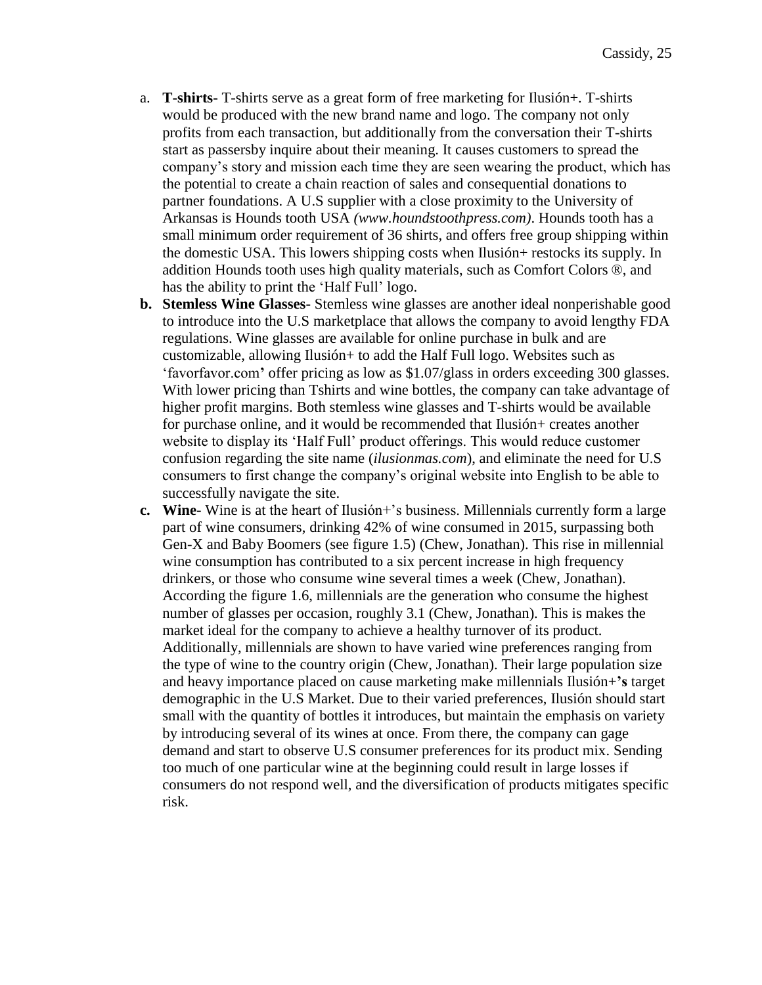- a. **T-shirts-** T-shirts serve as a great form of free marketing for Ilusión+. T-shirts would be produced with the new brand name and logo. The company not only profits from each transaction, but additionally from the conversation their T-shirts start as passersby inquire about their meaning. It causes customers to spread the company's story and mission each time they are seen wearing the product, which has the potential to create a chain reaction of sales and consequential donations to partner foundations. A U.S supplier with a close proximity to the University of Arkansas is Hounds tooth USA *(www.houndstoothpress.com)*. Hounds tooth has a small minimum order requirement of 36 shirts, and offers free group shipping within the domestic USA. This lowers shipping costs when Ilusión+ restocks its supply. In addition Hounds tooth uses high quality materials, such as Comfort Colors ®, and has the ability to print the 'Half Full' logo.
- **b. Stemless Wine Glasses-** Stemless wine glasses are another ideal nonperishable good to introduce into the U.S marketplace that allows the company to avoid lengthy FDA regulations. Wine glasses are available for online purchase in bulk and are customizable, allowing Ilusión+ to add the Half Full logo. Websites such as 'favorfavor.com**'** offer pricing as low as \$1.07/glass in orders exceeding 300 glasses. With lower pricing than Tshirts and wine bottles, the company can take advantage of higher profit margins. Both stemless wine glasses and T-shirts would be available for purchase online, and it would be recommended that Ilusión+ creates another website to display its 'Half Full' product offerings. This would reduce customer confusion regarding the site name (*ilusionmas.com*), and eliminate the need for U.S consumers to first change the company's original website into English to be able to successfully navigate the site.
- **c. Wine-** Wine is at the heart of Ilusión+'s business. Millennials currently form a large part of wine consumers, drinking 42% of wine consumed in 2015, surpassing both Gen-X and Baby Boomers (see figure 1.5) (Chew, Jonathan). This rise in millennial wine consumption has contributed to a six percent increase in high frequency drinkers, or those who consume wine several times a week (Chew, Jonathan). According the figure 1.6, millennials are the generation who consume the highest number of glasses per occasion, roughly 3.1 (Chew, Jonathan). This is makes the market ideal for the company to achieve a healthy turnover of its product. Additionally, millennials are shown to have varied wine preferences ranging from the type of wine to the country origin (Chew, Jonathan). Their large population size and heavy importance placed on cause marketing make millennials Ilusión+**'s** target demographic in the U.S Market. Due to their varied preferences, Ilusión should start small with the quantity of bottles it introduces, but maintain the emphasis on variety by introducing several of its wines at once. From there, the company can gage demand and start to observe U.S consumer preferences for its product mix. Sending too much of one particular wine at the beginning could result in large losses if consumers do not respond well, and the diversification of products mitigates specific risk.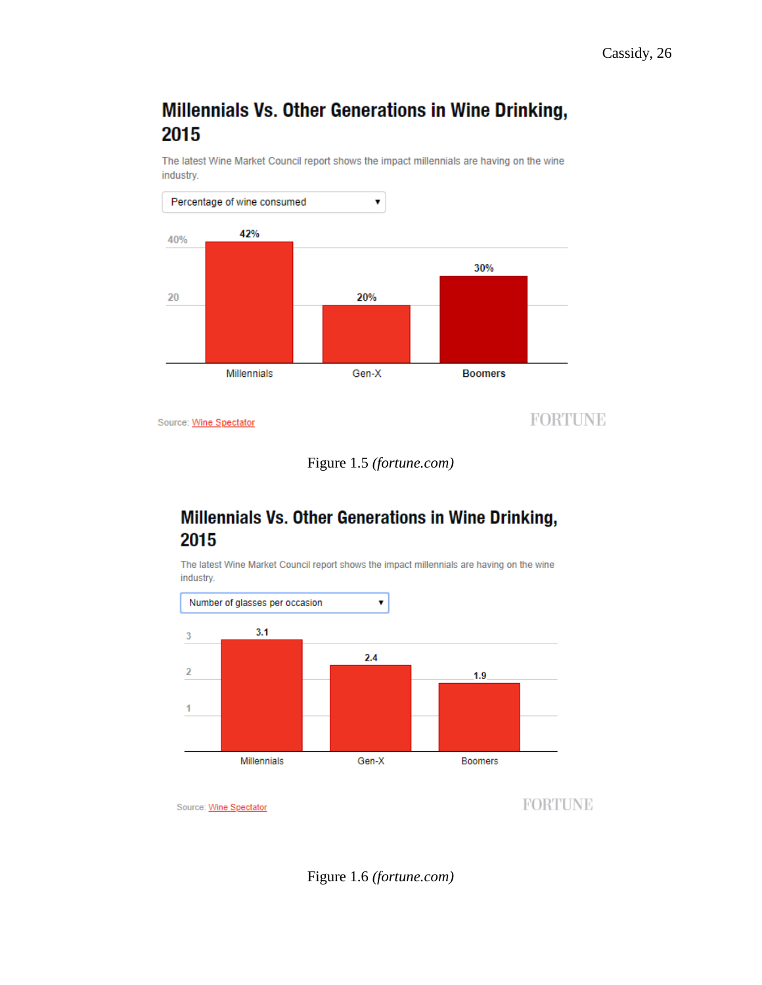# Millennials Vs. Other Generations in Wine Drinking, 2015

The latest Wine Market Council report shows the impact millennials are having on the wine industry.





# Millennials Vs. Other Generations in Wine Drinking, 2015

The latest Wine Market Council report shows the impact millennials are having on the wine industry.



<span id="page-26-0"></span>Figure 1.6 *(fortune.com)*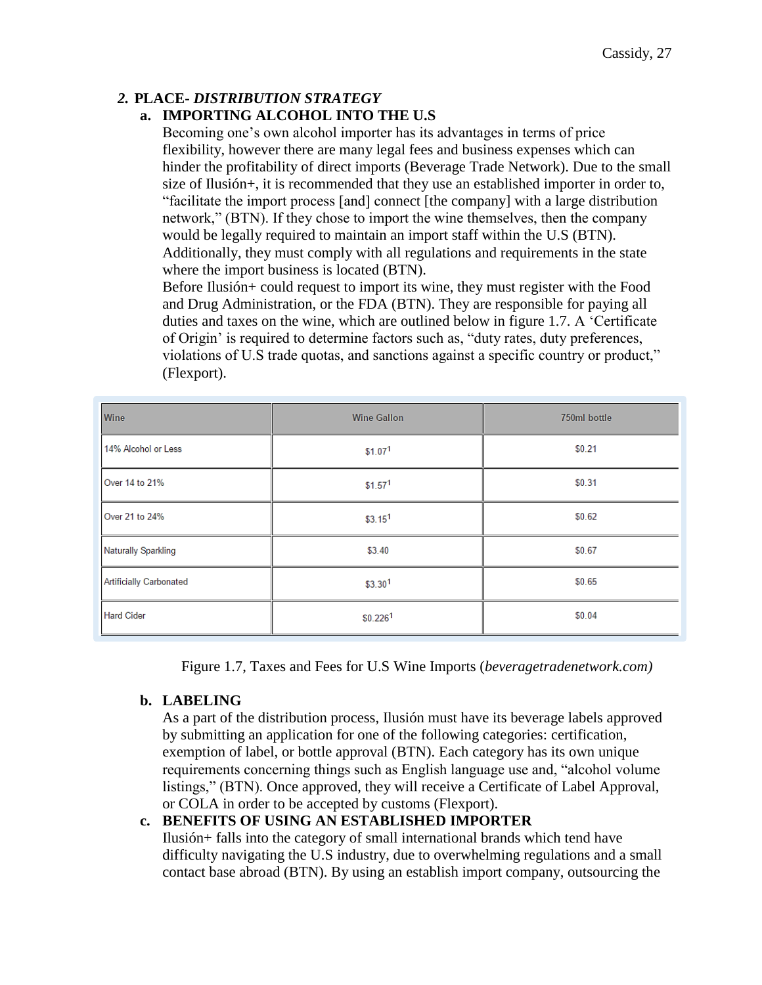# <span id="page-27-0"></span>*2.* **PLACE-** *DISTRIBUTION STRATEGY*

# **a. IMPORTING ALCOHOL INTO THE U.S**

Becoming one's own alcohol importer has its advantages in terms of price flexibility, however there are many legal fees and business expenses which can hinder the profitability of direct imports (Beverage Trade Network). Due to the small size of Ilusión+, it is recommended that they use an established importer in order to, "facilitate the import process [and] connect [the company] with a large distribution network," (BTN). If they chose to import the wine themselves, then the company would be legally required to maintain an import staff within the U.S (BTN). Additionally, they must comply with all regulations and requirements in the state where the import business is located (BTN).

Before Ilusión+ could request to import its wine, they must register with the Food and Drug Administration, or the FDA (BTN). They are responsible for paying all duties and taxes on the wine, which are outlined below in figure 1.7. A 'Certificate of Origin' is required to determine factors such as, "duty rates, duty preferences, violations of U.S trade quotas, and sanctions against a specific country or product," (Flexport).

| Wine                    | <b>Wine Gallon</b>   | 750ml bottle |
|-------------------------|----------------------|--------------|
| 14% Alcohol or Less     | \$1.07 <sup>1</sup>  | \$0.21       |
| Over 14 to 21%          | \$1.57 <sup>1</sup>  | \$0.31       |
| Over 21 to 24%          | \$3.15 <sup>1</sup>  | \$0.62       |
| Naturally Sparkling     | \$3.40               | \$0.67       |
| Artificially Carbonated | \$3.30 <sup>1</sup>  | \$0.65       |
| <b>Hard Cider</b>       | \$0.226 <sup>1</sup> | \$0.04       |

Figure 1.7, Taxes and Fees for U.S Wine Imports (*beveragetradenetwork.com)*

# <span id="page-27-1"></span>**b. LABELING**

As a part of the distribution process, Ilusión must have its beverage labels approved by submitting an application for one of the following categories: certification, exemption of label, or bottle approval (BTN). Each category has its own unique requirements concerning things such as English language use and, "alcohol volume listings," (BTN). Once approved, they will receive a Certificate of Label Approval, or COLA in order to be accepted by customs (Flexport).

# <span id="page-27-2"></span>**c. BENEFITS OF USING AN ESTABLISHED IMPORTER**

Ilusión+ falls into the category of small international brands which tend have difficulty navigating the U.S industry, due to overwhelming regulations and a small contact base abroad (BTN). By using an establish import company, outsourcing the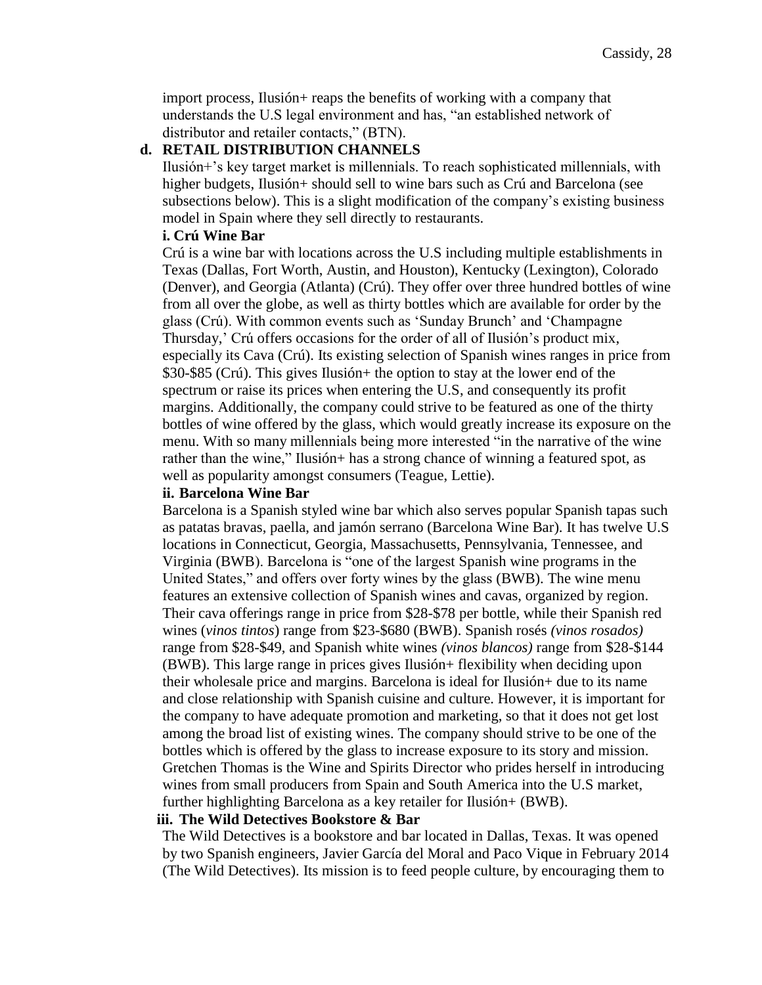import process, Ilusión+ reaps the benefits of working with a company that understands the U.S legal environment and has, "an established network of distributor and retailer contacts," (BTN).

#### <span id="page-28-0"></span>**d. RETAIL DISTRIBUTION CHANNELS**

Ilusión+'s key target market is millennials. To reach sophisticated millennials, with higher budgets, Ilusión+ should sell to wine bars such as Crú and Barcelona (see subsections below). This is a slight modification of the company's existing business model in Spain where they sell directly to restaurants.

#### **i. Crú Wine Bar**

Crú is a wine bar with locations across the U.S including multiple establishments in Texas (Dallas, Fort Worth, Austin, and Houston), Kentucky (Lexington), Colorado (Denver), and Georgia (Atlanta) (Crú). They offer over three hundred bottles of wine from all over the globe, as well as thirty bottles which are available for order by the glass (Crú). With common events such as 'Sunday Brunch' and 'Champagne Thursday,' Crú offers occasions for the order of all of Ilusión's product mix, especially its Cava (Crú). Its existing selection of Spanish wines ranges in price from \$30-\$85 (Crú). This gives Ilusión+ the option to stay at the lower end of the spectrum or raise its prices when entering the U.S, and consequently its profit margins. Additionally, the company could strive to be featured as one of the thirty bottles of wine offered by the glass, which would greatly increase its exposure on the menu. With so many millennials being more interested "in the narrative of the wine rather than the wine," Ilusión+ has a strong chance of winning a featured spot, as well as popularity amongst consumers (Teague, Lettie).

#### **ii. Barcelona Wine Bar**

Barcelona is a Spanish styled wine bar which also serves popular Spanish tapas such as patatas bravas, paella, and jamón serrano (Barcelona Wine Bar). It has twelve U.S locations in Connecticut, Georgia, Massachusetts, Pennsylvania, Tennessee, and Virginia (BWB). Barcelona is "one of the largest Spanish wine programs in the United States," and offers over forty wines by the glass (BWB). The wine menu features an extensive collection of Spanish wines and cavas, organized by region. Their cava offerings range in price from \$28-\$78 per bottle, while their Spanish red wines (*vinos tintos*) range from \$23-\$680 (BWB). Spanish rosés *(vinos rosados)*  range from \$28-\$49, and Spanish white wines *(vinos blancos)* range from \$28-\$144 (BWB). This large range in prices gives Ilusión+ flexibility when deciding upon their wholesale price and margins. Barcelona is ideal for Ilusión+ due to its name and close relationship with Spanish cuisine and culture. However, it is important for the company to have adequate promotion and marketing, so that it does not get lost among the broad list of existing wines. The company should strive to be one of the bottles which is offered by the glass to increase exposure to its story and mission. Gretchen Thomas is the Wine and Spirits Director who prides herself in introducing wines from small producers from Spain and South America into the U.S market, further highlighting Barcelona as a key retailer for Ilusión+ (BWB).

#### **iii. The Wild Detectives Bookstore & Bar**

The Wild Detectives is a bookstore and bar located in Dallas, Texas. It was opened by two Spanish engineers, Javier García del Moral and Paco Vique in February 2014 (The Wild Detectives). Its mission is to feed people culture, by encouraging them to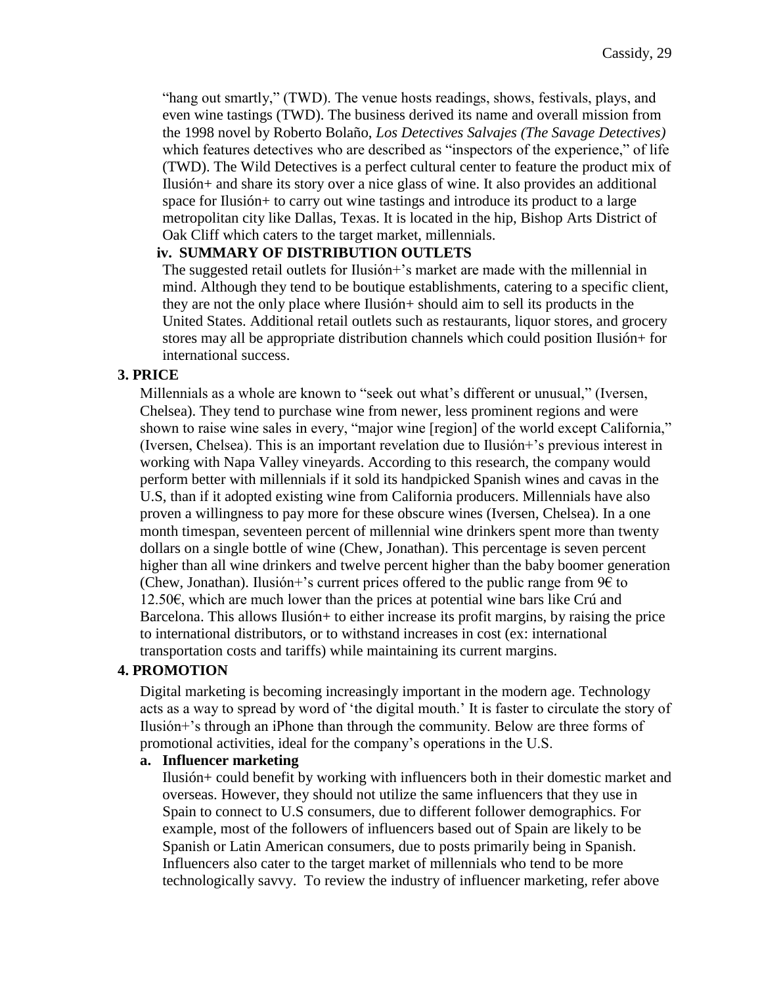"hang out smartly," (TWD). The venue hosts readings, shows, festivals, plays, and even wine tastings (TWD). The business derived its name and overall mission from the 1998 novel by Roberto Bolaño, *Los Detectives Salvajes (The Savage Detectives)* which features detectives who are described as "inspectors of the experience," of life (TWD). The Wild Detectives is a perfect cultural center to feature the product mix of Ilusión+ and share its story over a nice glass of wine. It also provides an additional space for Ilusión+ to carry out wine tastings and introduce its product to a large metropolitan city like Dallas, Texas. It is located in the hip, Bishop Arts District of Oak Cliff which caters to the target market, millennials.

#### **iv. SUMMARY OF DISTRIBUTION OUTLETS**

The suggested retail outlets for Ilusión+'s market are made with the millennial in mind. Although they tend to be boutique establishments, catering to a specific client, they are not the only place where Ilusión+ should aim to sell its products in the United States. Additional retail outlets such as restaurants, liquor stores, and grocery stores may all be appropriate distribution channels which could position Ilusión+ for international success.

#### <span id="page-29-0"></span>**3. PRICE**

Millennials as a whole are known to "seek out what's different or unusual," (Iversen, Chelsea). They tend to purchase wine from newer, less prominent regions and were shown to raise wine sales in every, "major wine [region] of the world except California," (Iversen, Chelsea). This is an important revelation due to Ilusión+'s previous interest in working with Napa Valley vineyards. According to this research, the company would perform better with millennials if it sold its handpicked Spanish wines and cavas in the U.S, than if it adopted existing wine from California producers. Millennials have also proven a willingness to pay more for these obscure wines (Iversen, Chelsea). In a one month timespan, seventeen percent of millennial wine drinkers spent more than twenty dollars on a single bottle of wine (Chew, Jonathan). This percentage is seven percent higher than all wine drinkers and twelve percent higher than the baby boomer generation (Chew, Jonathan). Ilusión+'s current prices offered to the public range from  $96$  to 12.50€, which are much lower than the prices at potential wine bars like Crú and Barcelona. This allows Ilusión + to either increase its profit margins, by raising the price to international distributors, or to withstand increases in cost (ex: international transportation costs and tariffs) while maintaining its current margins.

### <span id="page-29-1"></span>**4. PROMOTION**

Digital marketing is becoming increasingly important in the modern age. Technology acts as a way to spread by word of 'the digital mouth.' It is faster to circulate the story of Ilusión+'s through an iPhone than through the community. Below are three forms of promotional activities, ideal for the company's operations in the U.S.

#### **a. Influencer marketing**

Ilusión+ could benefit by working with influencers both in their domestic market and overseas. However, they should not utilize the same influencers that they use in Spain to connect to U.S consumers, due to different follower demographics. For example, most of the followers of influencers based out of Spain are likely to be Spanish or Latin American consumers, due to posts primarily being in Spanish. Influencers also cater to the target market of millennials who tend to be more technologically savvy. To review the industry of influencer marketing, refer above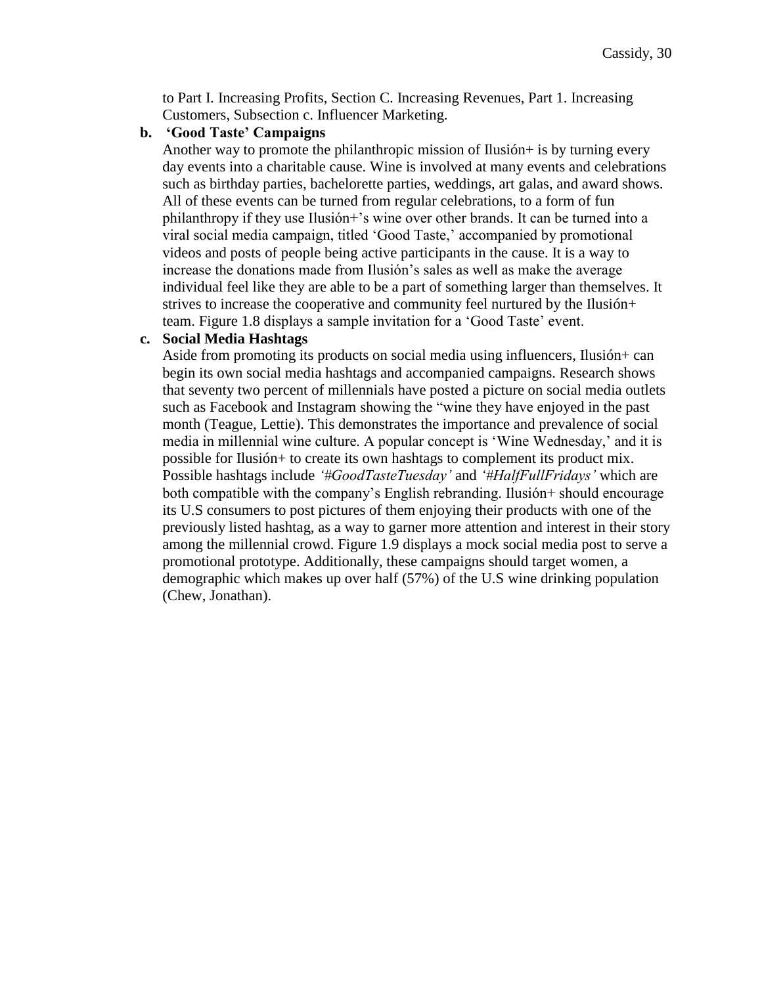to Part I. Increasing Profits, Section C. Increasing Revenues, Part 1. Increasing Customers, Subsection c. Influencer Marketing.

#### **b. 'Good Taste' Campaigns**

Another way to promote the philanthropic mission of Ilusión+ is by turning every day events into a charitable cause. Wine is involved at many events and celebrations such as birthday parties, bachelorette parties, weddings, art galas, and award shows. All of these events can be turned from regular celebrations, to a form of fun philanthropy if they use Ilusión+'s wine over other brands. It can be turned into a viral social media campaign, titled 'Good Taste,' accompanied by promotional videos and posts of people being active participants in the cause. It is a way to increase the donations made from Ilusión's sales as well as make the average individual feel like they are able to be a part of something larger than themselves. It strives to increase the cooperative and community feel nurtured by the Ilusión+ team. Figure 1.8 displays a sample invitation for a 'Good Taste' event.

#### **c. Social Media Hashtags**

Aside from promoting its products on social media using influencers, Ilusión+ can begin its own social media hashtags and accompanied campaigns. Research shows that seventy two percent of millennials have posted a picture on social media outlets such as Facebook and Instagram showing the "wine they have enjoyed in the past month (Teague, Lettie). This demonstrates the importance and prevalence of social media in millennial wine culture. A popular concept is 'Wine Wednesday,' and it is possible for Ilusión+ to create its own hashtags to complement its product mix. Possible hashtags include *'#GoodTasteTuesday'* and *'#HalfFullFridays'* which are both compatible with the company's English rebranding. Ilusión+ should encourage its U.S consumers to post pictures of them enjoying their products with one of the previously listed hashtag, as a way to garner more attention and interest in their story among the millennial crowd. Figure 1.9 displays a mock social media post to serve a promotional prototype. Additionally, these campaigns should target women, a demographic which makes up over half (57%) of the U.S wine drinking population (Chew, Jonathan).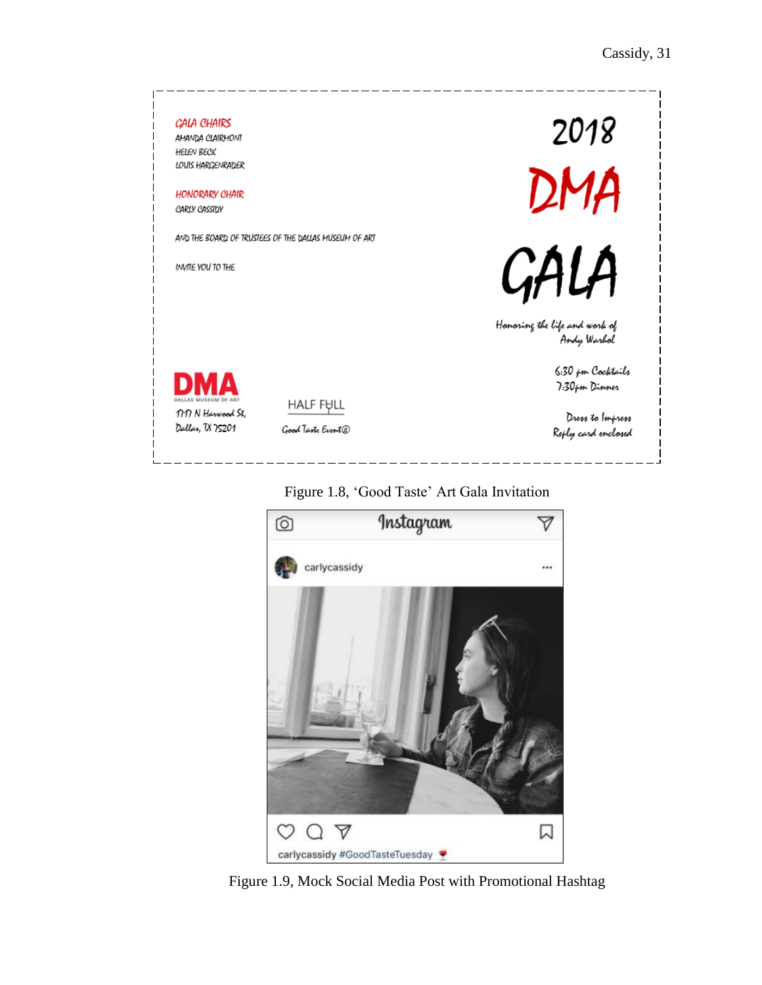



# Figure 1.8, 'Good Taste' Art Gala Invitation

Figure 1.9, Mock Social Media Post with Promotional Hashtag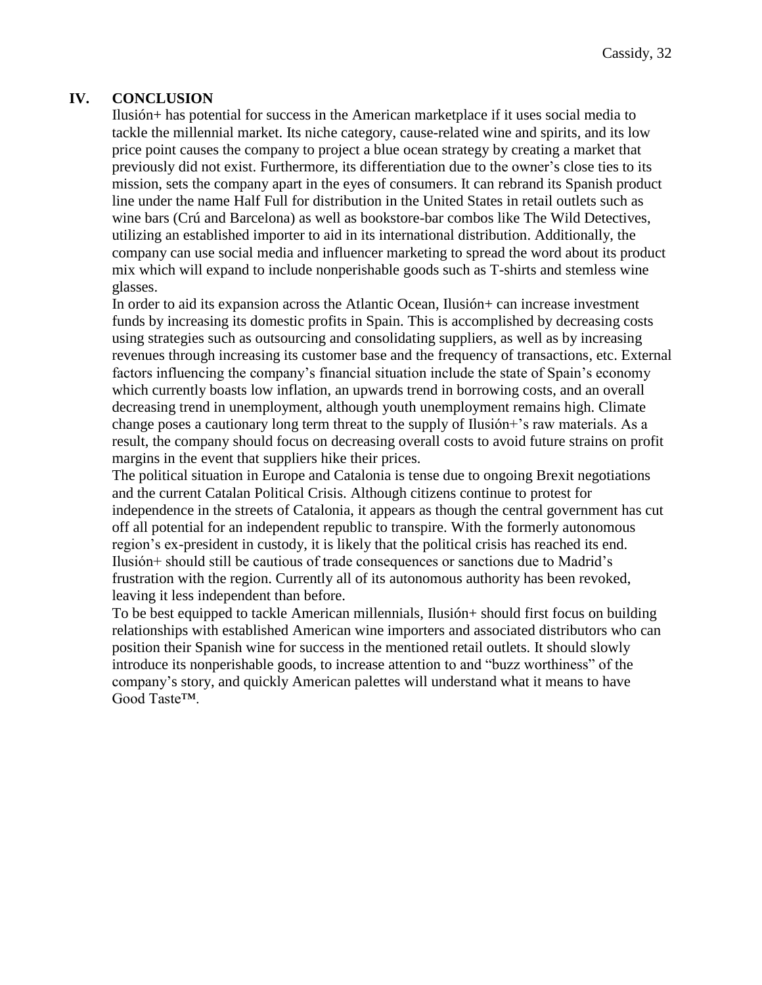### <span id="page-32-0"></span>**IV. CONCLUSION**

Ilusión+ has potential for success in the American marketplace if it uses social media to tackle the millennial market. Its niche category, cause-related wine and spirits, and its low price point causes the company to project a blue ocean strategy by creating a market that previously did not exist. Furthermore, its differentiation due to the owner's close ties to its mission, sets the company apart in the eyes of consumers. It can rebrand its Spanish product line under the name Half Full for distribution in the United States in retail outlets such as wine bars (Crú and Barcelona) as well as bookstore-bar combos like The Wild Detectives, utilizing an established importer to aid in its international distribution. Additionally, the company can use social media and influencer marketing to spread the word about its product mix which will expand to include nonperishable goods such as T-shirts and stemless wine glasses.

In order to aid its expansion across the Atlantic Ocean, Ilusión+ can increase investment funds by increasing its domestic profits in Spain. This is accomplished by decreasing costs using strategies such as outsourcing and consolidating suppliers, as well as by increasing revenues through increasing its customer base and the frequency of transactions, etc. External factors influencing the company's financial situation include the state of Spain's economy which currently boasts low inflation, an upwards trend in borrowing costs, and an overall decreasing trend in unemployment, although youth unemployment remains high. Climate change poses a cautionary long term threat to the supply of Ilusión+'s raw materials. As a result, the company should focus on decreasing overall costs to avoid future strains on profit margins in the event that suppliers hike their prices.

The political situation in Europe and Catalonia is tense due to ongoing Brexit negotiations and the current Catalan Political Crisis. Although citizens continue to protest for independence in the streets of Catalonia, it appears as though the central government has cut off all potential for an independent republic to transpire. With the formerly autonomous region's ex-president in custody, it is likely that the political crisis has reached its end. Ilusión+ should still be cautious of trade consequences or sanctions due to Madrid's frustration with the region. Currently all of its autonomous authority has been revoked, leaving it less independent than before.

To be best equipped to tackle American millennials, Ilusión+ should first focus on building relationships with established American wine importers and associated distributors who can position their Spanish wine for success in the mentioned retail outlets. It should slowly introduce its nonperishable goods, to increase attention to and "buzz worthiness" of the company's story, and quickly American palettes will understand what it means to have Good Taste™.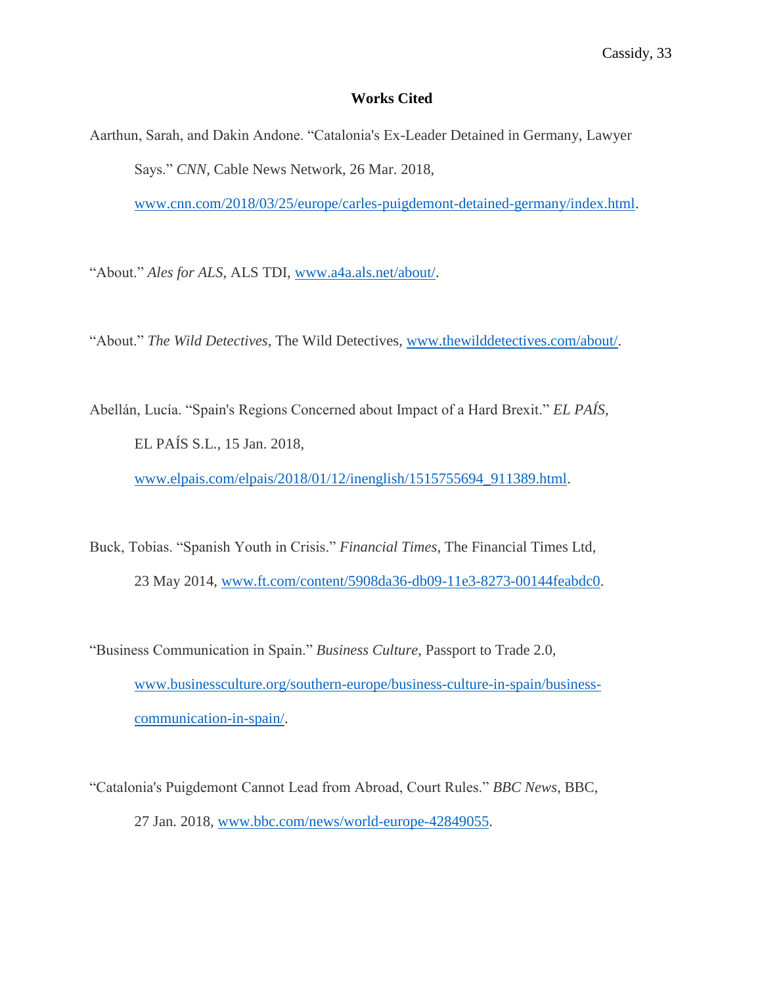### **Works Cited**

Aarthun, Sarah, and Dakin Andone. "Catalonia's Ex-Leader Detained in Germany, Lawyer Says." *CNN*, Cable News Network, 26 Mar. 2018,

[www.cnn.com/2018/03/25/europe/carles-puigdemont-detained-germany/index.html.](http://www.cnn.com/2018/03/25/europe/carles-puigdemont-detained-germany/index.html)

"About." *Ales for ALS*, ALS TDI, [www.a4a.als.net/about/.](http://www.a4a.als.net/about/)

"About." *The Wild Detectives*, The Wild Detectives, [www.thewilddetectives.com/about/.](http://www.thewilddetectives.com/about/)

Abellán, Lucía. "Spain's Regions Concerned about Impact of a Hard Brexit." *EL PAÍS*, EL PAÍS S.L., 15 Jan. 2018,

[www.elpais.com/elpais/2018/01/12/inenglish/1515755694\\_911389.html.](http://www.elpais.com/elpais/2018/01/12/inenglish/1515755694_911389.html)

- Buck, Tobias. "Spanish Youth in Crisis." *Financial Times*, The Financial Times Ltd, 23 May 2014, [www.ft.com/content/5908da36-db09-11e3-8273-00144feabdc0.](http://www.ft.com/content/5908da36-db09-11e3-8273-00144feabdc0)
- "Business Communication in Spain." *Business Culture*, Passport to Trade 2.0, [www.businessculture.org/southern-europe/business-culture-in-spain/business](http://www.businessculture.org/southern-europe/business-culture-in-spain/business-communication-in-spain/)[communication-in-spain/.](http://www.businessculture.org/southern-europe/business-culture-in-spain/business-communication-in-spain/)
- "Catalonia's Puigdemont Cannot Lead from Abroad, Court Rules." *BBC News*, BBC, 27 Jan. 2018, [www.bbc.com/news/world-europe-42849055.](http://www.bbc.com/news/world-europe-42849055)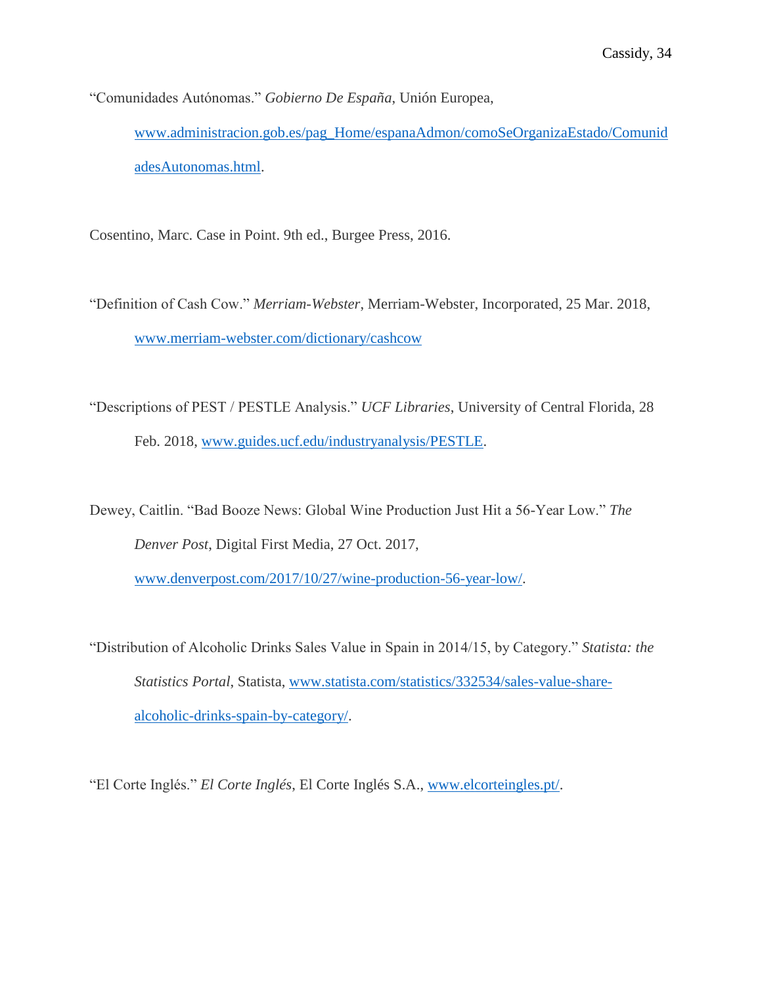"Comunidades Autónomas." *Gobierno De España*, Unión Europea, [www.administracion.gob.es/pag\\_Home/espanaAdmon/comoSeOrganizaEstado/Comunid](http://www.administracion.gob.es/pag_Home/espanaAdmon/comoSeOrganizaEstado/ComunidadesAutonomas.html) [adesAutonomas.html.](http://www.administracion.gob.es/pag_Home/espanaAdmon/comoSeOrganizaEstado/ComunidadesAutonomas.html)

Cosentino, Marc. Case in Point. 9th ed., Burgee Press, 2016.

"Definition of Cash Cow." *Merriam-Webster*, Merriam-Webster, Incorporated, 25 Mar. 2018, [www.merriam-webster.com/dictionary/cashcow](http://www.merriam-webster.com/dictionary/cashcow) 

"Descriptions of PEST / PESTLE Analysis." *UCF Libraries*, University of Central Florida, 28 Feb. 2018, [www.guides.ucf.edu/industryanalysis/PESTLE.](http://www.guides.ucf.edu/industryanalysis/PESTLE)

Dewey, Caitlin. "Bad Booze News: Global Wine Production Just Hit a 56-Year Low." *The Denver Post*, Digital First Media, 27 Oct. 2017,

[www.denverpost.com/2017/10/27/wine-production-56-year-low/.](http://www.denverpost.com/2017/10/27/wine-production-56-year-low/)

"Distribution of Alcoholic Drinks Sales Value in Spain in 2014/15, by Category." *Statista: the Statistics Portal*, Statista, [www.statista.com/statistics/332534/sales-value-share](http://www.statista.com/statistics/332534/sales-value-share-alcoholic-drinks-spain-by-category/)[alcoholic-drinks-spain-by-category/.](http://www.statista.com/statistics/332534/sales-value-share-alcoholic-drinks-spain-by-category/)

"El Corte Inglés." *El Corte Inglés*, El Corte Inglés S.A., [www.elcorteingles.pt/.](http://www.elcorteingles.pt/)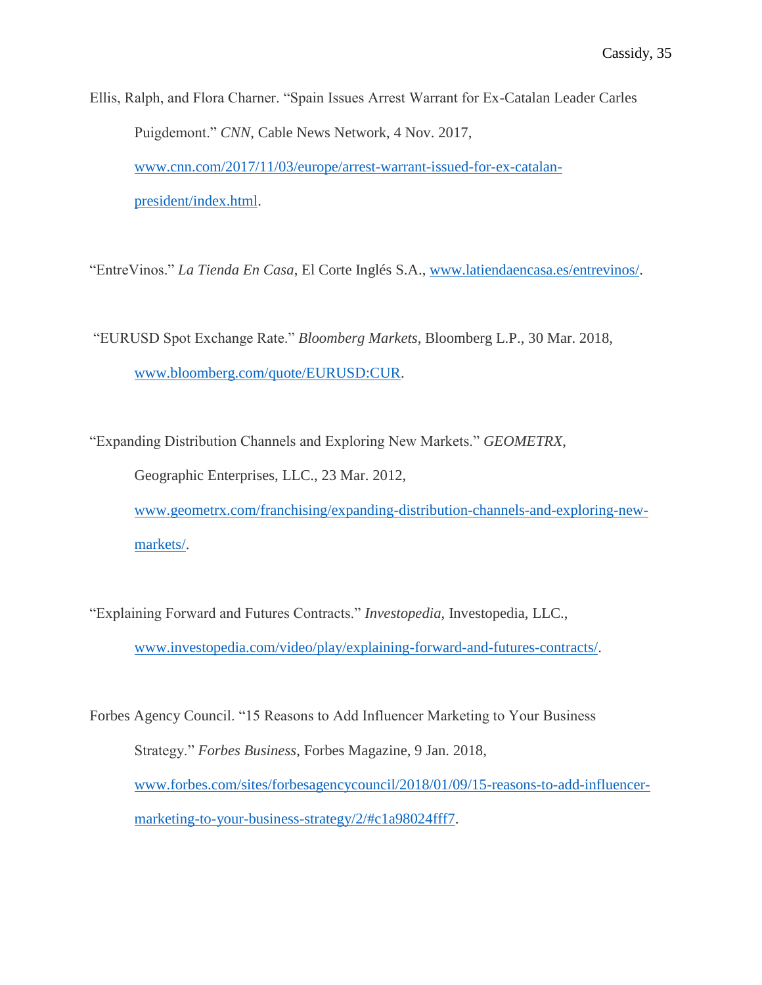Ellis, Ralph, and Flora Charner. "Spain Issues Arrest Warrant for Ex-Catalan Leader Carles Puigdemont." *CNN*, Cable News Network, 4 Nov. 2017, [www.cnn.com/2017/11/03/europe/arrest-warrant-issued-for-ex-catalan](http://www.cnn.com/2017/11/03/europe/arrest-warrant-issued-for-ex-catalan-president/index.html)[president/index.html.](http://www.cnn.com/2017/11/03/europe/arrest-warrant-issued-for-ex-catalan-president/index.html)

"EntreVinos." *La Tienda En Casa*, El Corte Inglés S.A., [www.latiendaencasa.es/entrevinos/.](http://www.latiendaencasa.es/entrevinos/)

"EURUSD Spot Exchange Rate." *Bloomberg Markets*, Bloomberg L.P., 30 Mar. 2018, [www.bloomberg.com/quote/EURUSD:CUR.](http://www.bloomberg.com/quote/EURUSD:CUR)

"Expanding Distribution Channels and Exploring New Markets." *GEOMETRX*,

Geographic Enterprises, LLC., 23 Mar. 2012,

[www.geometrx.com/franchising/expanding-distribution-channels-and-exploring-new](http://www.geometrx.com/franchising/expanding-distribution-channels-and-exploring-new-markets/)[markets/.](http://www.geometrx.com/franchising/expanding-distribution-channels-and-exploring-new-markets/)

"Explaining Forward and Futures Contracts." *Investopedia*, Investopedia, LLC., [www.investopedia.com/video/play/explaining-forward-and-futures-contracts/.](http://www.investopedia.com/video/play/explaining-forward-and-futures-contracts/)

Forbes Agency Council. "15 Reasons to Add Influencer Marketing to Your Business Strategy." *Forbes Business*, Forbes Magazine, 9 Jan. 2018, [www.forbes.com/sites/forbesagencycouncil/2018/01/09/15-reasons-to-add-influencer](http://www.forbes.com/sites/forbesagencycouncil/2018/01/09/15-reasons-to-add-influencer-marketing-to-your-business-strategy/2/#c1a98024fff7)[marketing-to-your-business-strategy/2/#c1a98024fff7.](http://www.forbes.com/sites/forbesagencycouncil/2018/01/09/15-reasons-to-add-influencer-marketing-to-your-business-strategy/2/#c1a98024fff7)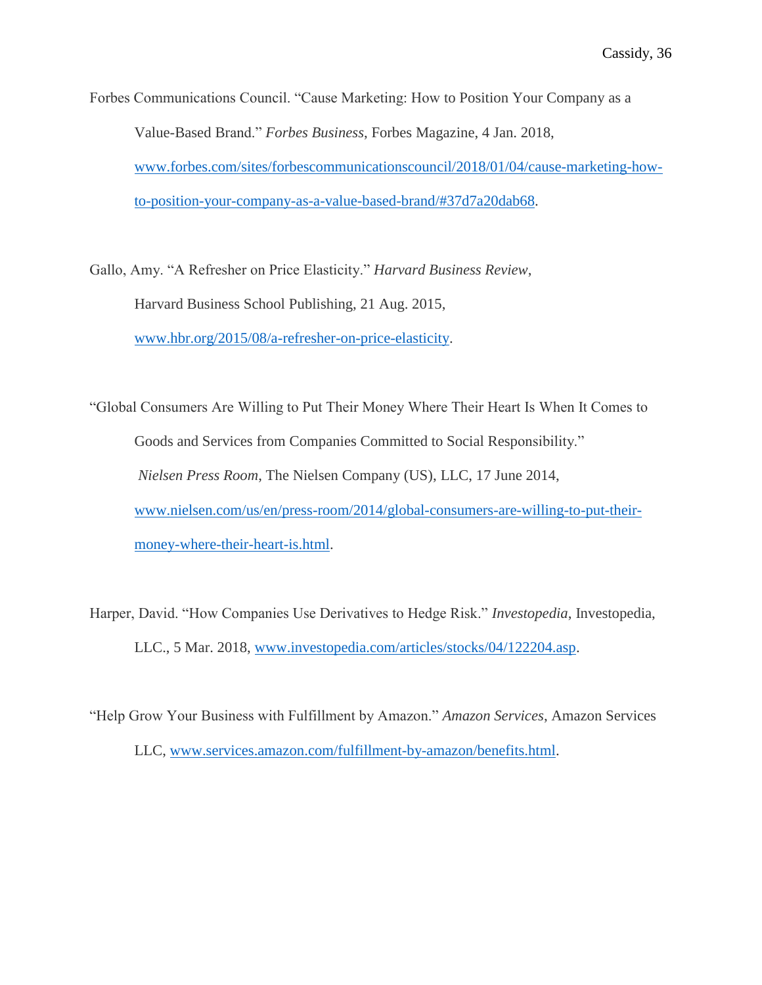Forbes Communications Council. "Cause Marketing: How to Position Your Company as a Value-Based Brand." *Forbes Business*, Forbes Magazine, 4 Jan. 2018, [www.forbes.com/sites/forbescommunicationscouncil/2018/01/04/cause-marketing-how](http://www.forbes.com/sites/forbescommunicationscouncil/2018/01/04/cause-marketing-how-to-position-your-company-as-a-value-based-brand/#37d7a20dab68)[to-position-your-company-as-a-value-based-brand/#37d7a20dab68.](http://www.forbes.com/sites/forbescommunicationscouncil/2018/01/04/cause-marketing-how-to-position-your-company-as-a-value-based-brand/#37d7a20dab68)

Gallo, Amy. "A Refresher on Price Elasticity." *Harvard Business Review*, Harvard Business School Publishing, 21 Aug. 2015, [www.hbr.org/2015/08/a-refresher-on-price-elasticity.](http://www.hbr.org/2015/08/a-refresher-on-price-elasticity)

"Global Consumers Are Willing to Put Their Money Where Their Heart Is When It Comes to Goods and Services from Companies Committed to Social Responsibility." *Nielsen Press Room*, The Nielsen Company (US), LLC, 17 June 2014, [www.nielsen.com/us/en/press-room/2014/global-consumers-are-willing-to-put-their](http://www.nielsen.com/us/en/press-room/2014/global-consumers-are-willing-to-put-their-money-where-their-heart-is.html)[money-where-their-heart-is.html.](http://www.nielsen.com/us/en/press-room/2014/global-consumers-are-willing-to-put-their-money-where-their-heart-is.html)

Harper, David. "How Companies Use Derivatives to Hedge Risk." *Investopedia*, Investopedia, LLC., 5 Mar. 2018, [www.investopedia.com/articles/stocks/04/122204.asp.](http://www.investopedia.com/articles/stocks/04/122204.asp)

"Help Grow Your Business with Fulfillment by Amazon." *Amazon Services*, Amazon Services LLC, [www.services.amazon.com/fulfillment-by-amazon/benefits.html.](http://www.services.amazon.com/fulfillment-by-amazon/benefits.html)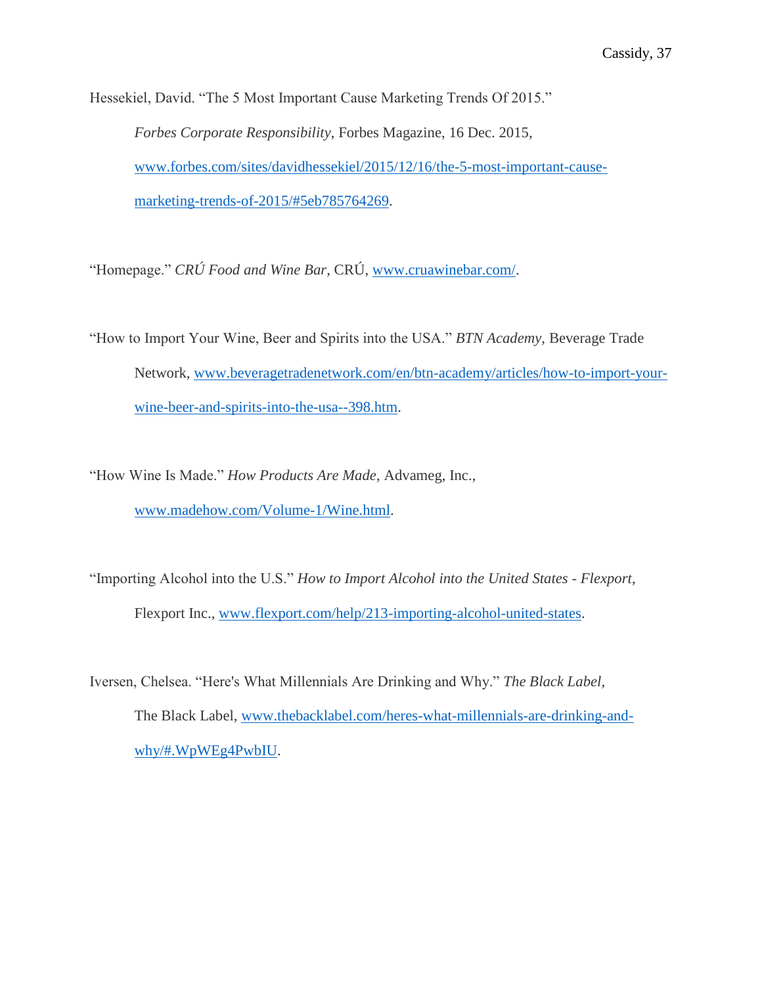Hessekiel, David. "The 5 Most Important Cause Marketing Trends Of 2015." *Forbes Corporate Responsibility*, Forbes Magazine, 16 Dec. 2015, [www.forbes.com/sites/davidhessekiel/2015/12/16/the-5-most-important-cause](http://www.forbes.com/sites/davidhessekiel/2015/12/16/the-5-most-important-cause-marketing-trends-of-2015/#5eb785764269)[marketing-trends-of-2015/#5eb785764269.](http://www.forbes.com/sites/davidhessekiel/2015/12/16/the-5-most-important-cause-marketing-trends-of-2015/#5eb785764269)

"Homepage." *CRÚ Food and Wine Bar*, CRÚ, [www.cruawinebar.com/.](http://www.cruawinebar.com/)

"How to Import Your Wine, Beer and Spirits into the USA." *BTN Academy*, Beverage Trade Network, [www.beveragetradenetwork.com/en/btn-academy/articles/how-to-import-your](http://www.beveragetradenetwork.com/en/btn-academy/articles/how-to-import-your-wine-beer-and-spirits-into-the-usa--398.htm)[wine-beer-and-spirits-into-the-usa--398.htm.](http://www.beveragetradenetwork.com/en/btn-academy/articles/how-to-import-your-wine-beer-and-spirits-into-the-usa--398.htm)

"How Wine Is Made." *How Products Are Made*, Advameg, Inc., [www.madehow.com/Volume-1/Wine.html.](http://www.madehow.com/Volume-1/Wine.html)

"Importing Alcohol into the U.S." *How to Import Alcohol into the United States - Flexport*, Flexport Inc., [www.flexport.com/help/213-importing-alcohol-united-states.](http://www.flexport.com/help/213-importing-alcohol-united-states)

Iversen, Chelsea. "Here's What Millennials Are Drinking and Why." *The Black Label*, The Black Label, [www.thebacklabel.com/heres-what-millennials-are-drinking-and](http://www.thebacklabel.com/heres-what-millennials-are-drinking-and-why/#.WpWEg4PwbIU)[why/#.WpWEg4PwbIU.](http://www.thebacklabel.com/heres-what-millennials-are-drinking-and-why/#.WpWEg4PwbIU)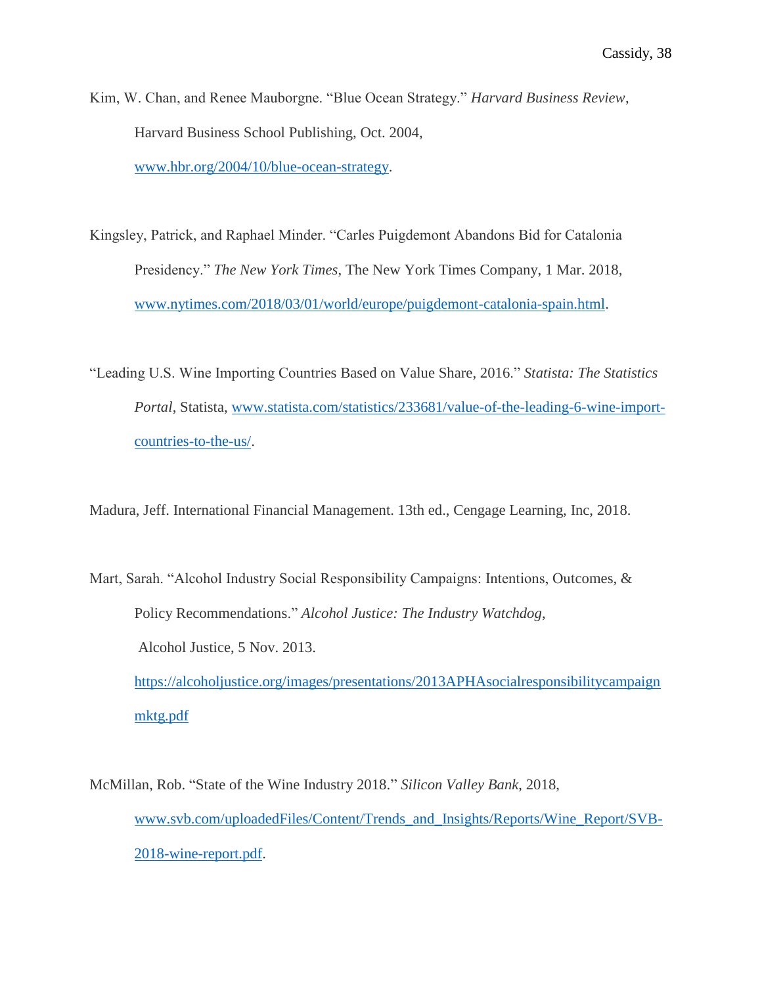Kim, W. Chan, and Renee Mauborgne. "Blue Ocean Strategy." *Harvard Business Review*, Harvard Business School Publishing, Oct. 2004, [www.hbr.org/2004/10/blue-ocean-strategy.](http://www.hbr.org/2004/10/blue-ocean-strategy)

Kingsley, Patrick, and Raphael Minder. "Carles Puigdemont Abandons Bid for Catalonia Presidency." *The New York Times*, The New York Times Company, 1 Mar. 2018, [www.nytimes.com/2018/03/01/world/europe/puigdemont-catalonia-spain.html.](http://www.nytimes.com/2018/03/01/world/europe/puigdemont-catalonia-spain.html)

"Leading U.S. Wine Importing Countries Based on Value Share, 2016." *Statista: The Statistics Portal*, Statista, [www.statista.com/statistics/233681/value-of-the-leading-6-wine-import](http://www.statista.com/statistics/233681/value-of-the-leading-6-wine-import-countries-to-the-us/)[countries-to-the-us/.](http://www.statista.com/statistics/233681/value-of-the-leading-6-wine-import-countries-to-the-us/)

Madura, Jeff. International Financial Management. 13th ed., Cengage Learning, Inc, 2018.

Mart, Sarah. "Alcohol Industry Social Responsibility Campaigns: Intentions, Outcomes, & Policy Recommendations." *Alcohol Justice: The Industry Watchdog*, Alcohol Justice, 5 Nov. 2013. [https://alcoholjustice.org/images/presentations/2013APHAsocialresponsibilitycampaign](https://alcoholjustice.org/images/presentations/2013APHAsocialresponsibilitycampaignmktg.pdf) [mktg.pdf](https://alcoholjustice.org/images/presentations/2013APHAsocialresponsibilitycampaignmktg.pdf)

McMillan, Rob. "State of the Wine Industry 2018." *Silicon Valley Bank*, 2018, [www.svb.com/uploadedFiles/Content/Trends\\_and\\_Insights/Reports/Wine\\_Report/SVB-](http://www.svb.com/uploadedFiles/Content/Trends_and_Insights/Reports/Wine_Report/SVB-2018-wine-report.pdf)[2018-wine-report.pdf.](http://www.svb.com/uploadedFiles/Content/Trends_and_Insights/Reports/Wine_Report/SVB-2018-wine-report.pdf)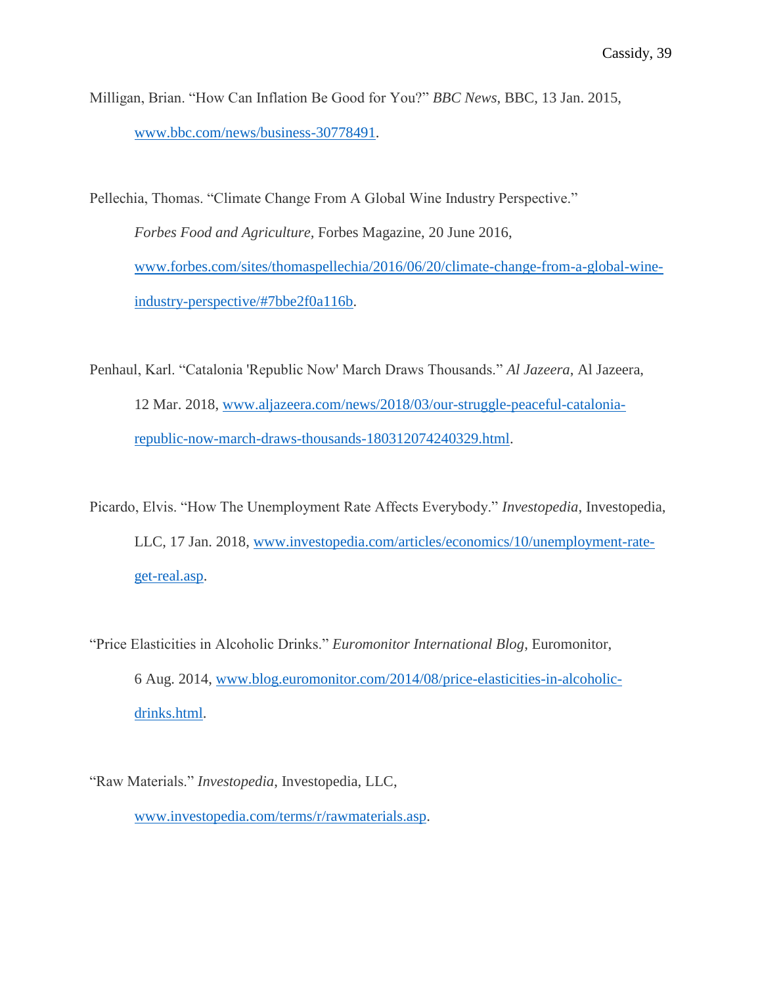Milligan, Brian. "How Can Inflation Be Good for You?" *BBC News*, BBC, 13 Jan. 2015, [www.bbc.com/news/business-30778491.](http://www.bbc.com/news/business-30778491)

Pellechia, Thomas. "Climate Change From A Global Wine Industry Perspective." *Forbes Food and Agriculture,* Forbes Magazine, 20 June 2016, [www.forbes.com/sites/thomaspellechia/2016/06/20/climate-change-from-a-global-wine](http://www.forbes.com/sites/thomaspellechia/2016/06/20/climate-change-from-a-global-wine-industry-perspective/#7bbe2f0a116b)[industry-perspective/#7bbe2f0a116b.](http://www.forbes.com/sites/thomaspellechia/2016/06/20/climate-change-from-a-global-wine-industry-perspective/#7bbe2f0a116b)

Penhaul, Karl. "Catalonia 'Republic Now' March Draws Thousands." *Al Jazeera*, Al Jazeera, 12 Mar. 2018, [www.aljazeera.com/news/2018/03/our-struggle-peaceful-catalonia](http://www.aljazeera.com/news/2018/03/our-struggle-peaceful-catalonia-republic-now-march-draws-thousands-180312074240329.html)[republic-now-march-draws-thousands-180312074240329.html.](http://www.aljazeera.com/news/2018/03/our-struggle-peaceful-catalonia-republic-now-march-draws-thousands-180312074240329.html)

Picardo, Elvis. "How The Unemployment Rate Affects Everybody." *Investopedia*, Investopedia, LLC, 17 Jan. 2018, [www.investopedia.com/articles/economics/10/unemployment-rate](http://www.investopedia.com/articles/economics/10/unemployment-rate-get-real.asp)[get-real.asp.](http://www.investopedia.com/articles/economics/10/unemployment-rate-get-real.asp)

"Price Elasticities in Alcoholic Drinks." *Euromonitor International Blog*, Euromonitor, 6 Aug. 2014, [www.blog.euromonitor.com/2014/08/price-elasticities-in-alcoholic](http://www.blog.euromonitor.com/2014/08/price-elasticities-in-alcoholic-drinks.html)[drinks.html.](http://www.blog.euromonitor.com/2014/08/price-elasticities-in-alcoholic-drinks.html)

"Raw Materials." *Investopedia*, Investopedia, LLC, [www.investopedia.com/terms/r/rawmaterials.asp.](http://www.investopedia.com/terms/r/rawmaterials.asp)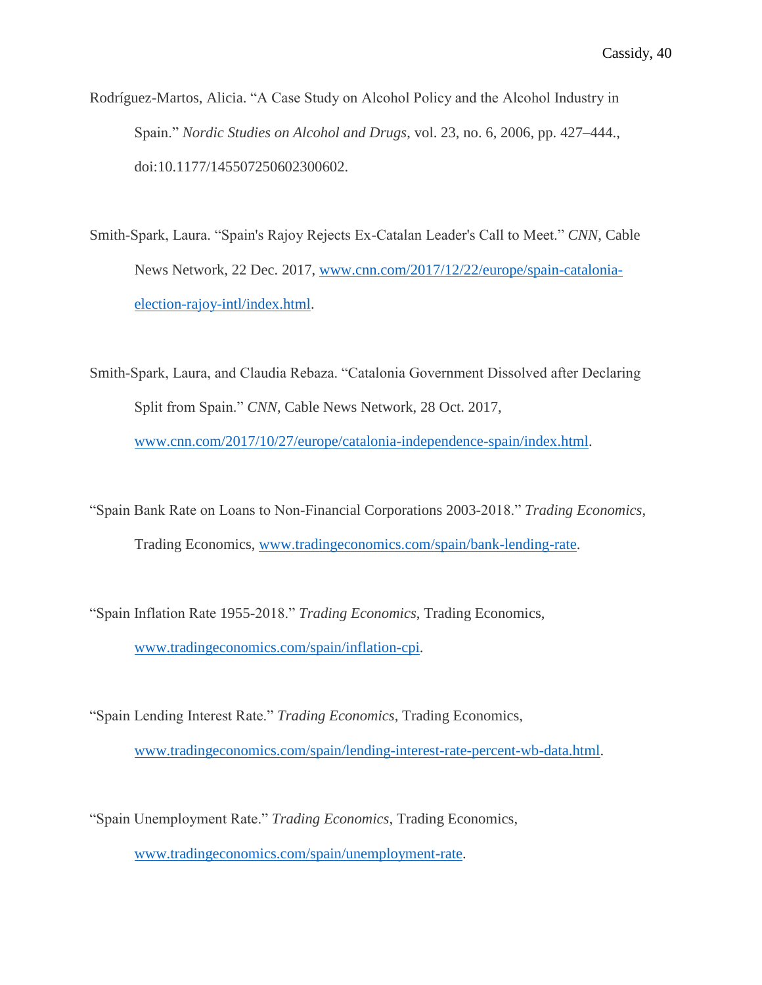- Rodríguez-Martos, Alicia. "A Case Study on Alcohol Policy and the Alcohol Industry in Spain." *Nordic Studies on Alcohol and Drugs*, vol. 23, no. 6, 2006, pp. 427–444., doi:10.1177/145507250602300602.
- Smith-Spark, Laura. "Spain's Rajoy Rejects Ex-Catalan Leader's Call to Meet." *CNN*, Cable News Network, 22 Dec. 2017, [www.cnn.com/2017/12/22/europe/spain-catalonia](http://www.cnn.com/2017/12/22/europe/spain-catalonia-election-rajoy-intl/index.html)[election-rajoy-intl/index.html.](http://www.cnn.com/2017/12/22/europe/spain-catalonia-election-rajoy-intl/index.html)
- Smith-Spark, Laura, and Claudia Rebaza. "Catalonia Government Dissolved after Declaring Split from Spain." *CNN*, Cable News Network, 28 Oct. 2017, [www.cnn.com/2017/10/27/europe/catalonia-independence-spain/index.html.](http://www.cnn.com/2017/10/27/europe/catalonia-independence-spain/index.html)
- "Spain Bank Rate on Loans to Non-Financial Corporations 2003-2018." *Trading Economics*, Trading Economics, [www.tradingeconomics.com/spain/bank-lending-rate.](http://www.tradingeconomics.com/spain/bank-lending-rate)
- "Spain Inflation Rate 1955-2018." *Trading Economics*, Trading Economics, [www.tradingeconomics.com/spain/inflation-cpi.](http://www.tradingeconomics.com/spain/inflation-cpi)
- "Spain Lending Interest Rate." *Trading Economics*, Trading Economics, [www.tradingeconomics.com/spain/lending-interest-rate-percent-wb-data.html.](http://www.tradingeconomics.com/spain/lending-interest-rate-percent-wb-data.html)
- "Spain Unemployment Rate." *Trading Economics*, Trading Economics, [www.tradingeconomics.com/spain/unemployment-rate.](http://www.tradingeconomics.com/spain/unemployment-rate)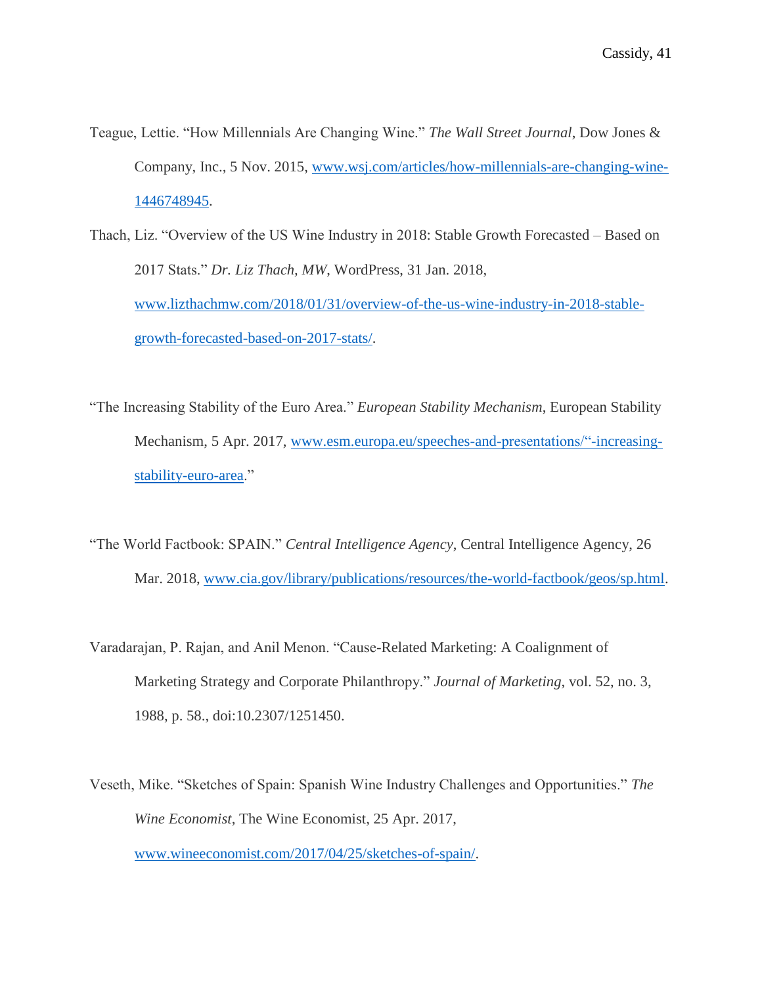- Teague, Lettie. "How Millennials Are Changing Wine." *The Wall Street Journal*, Dow Jones & Company, Inc., 5 Nov. 2015, [www.wsj.com/articles/how-millennials-are-changing-wine-](http://www.wsj.com/articles/how-millennials-are-changing-wine-1446748945)[1446748945.](http://www.wsj.com/articles/how-millennials-are-changing-wine-1446748945)
- Thach, Liz. "Overview of the US Wine Industry in 2018: Stable Growth Forecasted Based on 2017 Stats." *Dr. Liz Thach, MW*, WordPress, 31 Jan. 2018, [www.lizthachmw.com/2018/01/31/overview-of-the-us-wine-industry-in-2018-stable](http://www.lizthachmw.com/2018/01/31/overview-of-the-us-wine-industry-in-2018-stable-growth-forecasted-based-on-2017-stats/)[growth-forecasted-based-on-2017-stats/.](http://www.lizthachmw.com/2018/01/31/overview-of-the-us-wine-industry-in-2018-stable-growth-forecasted-based-on-2017-stats/)
- "The Increasing Stability of the Euro Area." *European Stability Mechanism*, European Stability Mechanism, 5 Apr. 2017, [www.esm.europa.eu/speeches-and-presentations/"-increasing](http://www.esm.europa.eu/speeches-and-presentations/)[stability-euro-area.](http://www.esm.europa.eu/speeches-and-presentations/)"
- "The World Factbook: SPAIN." *Central Intelligence Agency*, Central Intelligence Agency, 26 Mar. 2018, [www.cia.gov/library/publications/resources/the-world-factbook/geos/sp.html.](http://www.cia.gov/library/publications/resources/the-world-factbook/geos/sp.html)
- Varadarajan, P. Rajan, and Anil Menon. "Cause-Related Marketing: A Coalignment of Marketing Strategy and Corporate Philanthropy." *Journal of Marketing*, vol. 52, no. 3, 1988, p. 58., doi:10.2307/1251450.
- Veseth, Mike. "Sketches of Spain: Spanish Wine Industry Challenges and Opportunities." *The Wine Economist*, The Wine Economist, 25 Apr. 2017, [www.wineeconomist.com/2017/04/25/sketches-of-spain/.](http://www.wineeconomist.com/2017/04/25/sketches-of-spain/)